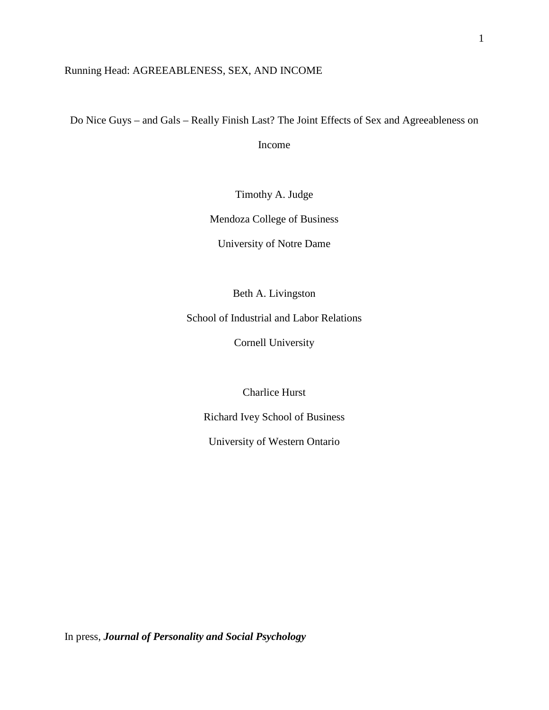# Running Head: AGREEABLENESS, SEX, AND INCOME

Do Nice Guys – and Gals – Really Finish Last? The Joint Effects of Sex and Agreeableness on

Income

Timothy A. Judge

Mendoza College of Business

University of Notre Dame

Beth A. Livingston

School of Industrial and Labor Relations

Cornell University

Charlice Hurst

Richard Ivey School of Business

University of Western Ontario

In press, *Journal of Personality and Social Psychology*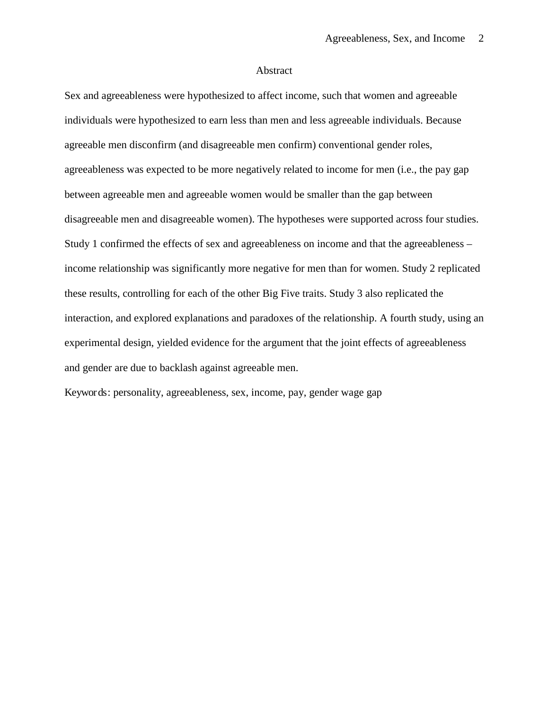#### Abstract

Sex and agreeableness were hypothesized to affect income, such that women and agreeable individuals were hypothesized to earn less than men and less agreeable individuals. Because agreeable men disconfirm (and disagreeable men confirm) conventional gender roles, agreeableness was expected to be more negatively related to income for men (i.e., the pay gap between agreeable men and agreeable women would be smaller than the gap between disagreeable men and disagreeable women). The hypotheses were supported across four studies. Study 1 confirmed the effects of sex and agreeableness on income and that the agreeableness – income relationship was significantly more negative for men than for women. Study 2 replicated these results, controlling for each of the other Big Five traits. Study 3 also replicated the interaction, and explored explanations and paradoxes of the relationship. A fourth study, using an experimental design, yielded evidence for the argument that the joint effects of agreeableness and gender are due to backlash against agreeable men.

Keywords: personality, agreeableness, sex, income, pay, gender wage gap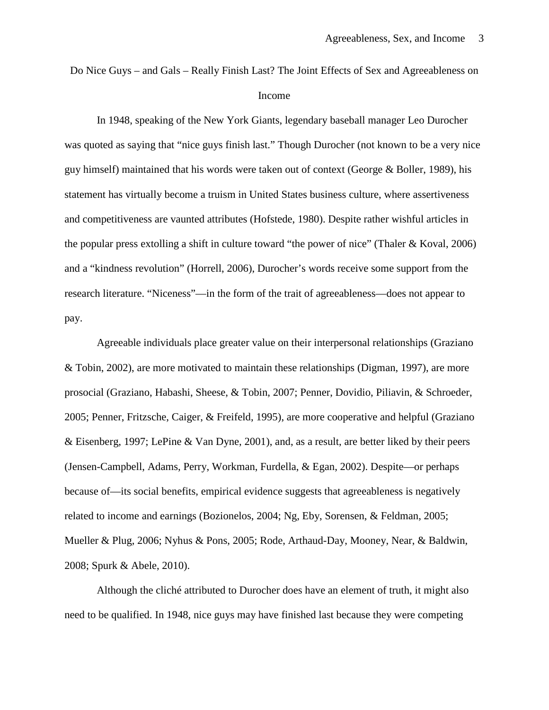Do Nice Guys – and Gals – Really Finish Last? The Joint Effects of Sex and Agreeableness on Income

In 1948, speaking of the New York Giants, legendary baseball manager Leo Durocher was quoted as saying that "nice guys finish last." Though Durocher (not known to be a very nice guy himself) maintained that his words were taken out of context (George & Boller, 1989), his statement has virtually become a truism in United States business culture, where assertiveness and competitiveness are vaunted attributes (Hofstede, 1980). Despite rather wishful articles in the popular press extolling a shift in culture toward "the power of nice" (Thaler & Koval, 2006) and a "kindness revolution" (Horrell, 2006), Durocher's words receive some support from the research literature. "Niceness"—in the form of the trait of agreeableness—does not appear to pay.

Agreeable individuals place greater value on their interpersonal relationships (Graziano & Tobin, 2002), are more motivated to maintain these relationships (Digman, 1997), are more prosocial (Graziano, Habashi, Sheese, & Tobin, 2007; Penner, Dovidio, Piliavin, & Schroeder, 2005; Penner, Fritzsche, Caiger, & Freifeld, 1995), are more cooperative and helpful (Graziano & Eisenberg, 1997; LePine & Van Dyne, 2001), and, as a result, are better liked by their peers (Jensen-Campbell, Adams, Perry, Workman, Furdella, & Egan, 2002). Despite—or perhaps because of—its social benefits, empirical evidence suggests that agreeableness is negatively related to income and earnings (Bozionelos, 2004; Ng, Eby, Sorensen, & Feldman, 2005; Mueller & Plug, 2006; Nyhus & Pons, 2005; Rode, Arthaud-Day, Mooney, Near, & Baldwin, 2008; Spurk & Abele, 2010).

Although the cliché attributed to Durocher does have an element of truth, it might also need to be qualified. In 1948, nice guys may have finished last because they were competing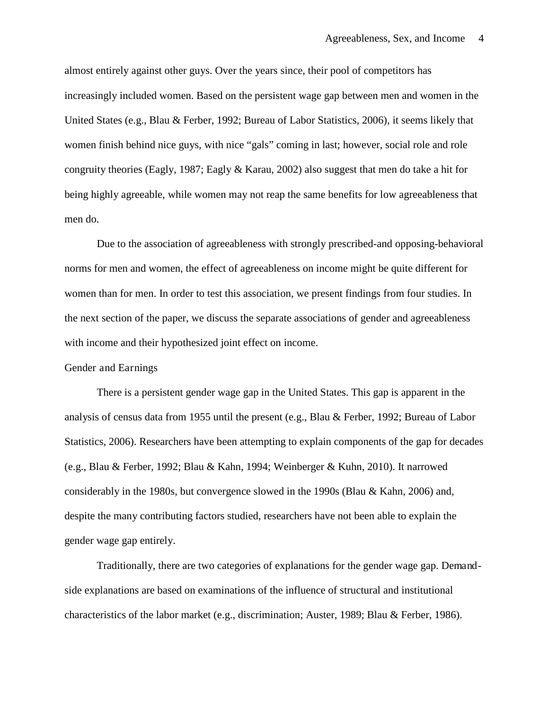almost entirely against other guys. Over the years since, their pool of competitors has increasingly included women. Based on the persistent wage gap between men and women in the United States (e.g., Blau & Ferber, 1992; Bureau of Labor Statistics, 2006), it seems likely that women finish behind nice guys, with nice "gals" coming in last; however, social role and role congruity theories (Eagly, 1987; Eagly & Karau, 2002) also suggest that men do take a hit for being highly agreeable, while women may not reap the same benefits for low agreeableness that men do.

Due to the association of agreeableness with strongly prescribed-and opposing-behavioral norms for men and women, the effect of agreeableness on income might be quite different for women than for men. In order to test this association, we present findings from four studies. In the next section of the paper, we discuss the separate associations of gender and agreeableness with income and their hypothesized joint effect on income.

#### Gender and Earnings

There is a persistent gender wage gap in the United States. This gap is apparent in the analysis of census data from 1955 until the present (e.g., Blau & Ferber, 1992; Bureau of Labor Statistics, 2006). Researchers have been attempting to explain components of the gap for decades (e.g., Blau & Ferber, 1992; Blau & Kahn, 1994; Weinberger & Kuhn, 2010). It narrowed considerably in the 1980s, but convergence slowed in the 1990s (Blau & Kahn, 2006) and, despite the many contributing factors studied, researchers have not been able to explain the gender wage gap entirely.

Traditionally, there are two categories of explanations for the gender wage gap. Demandside explanations are based on examinations of the influence of structural and institutional characteristics of the labor market (e.g., discrimination; Auster, 1989; Blau & Ferber, 1986).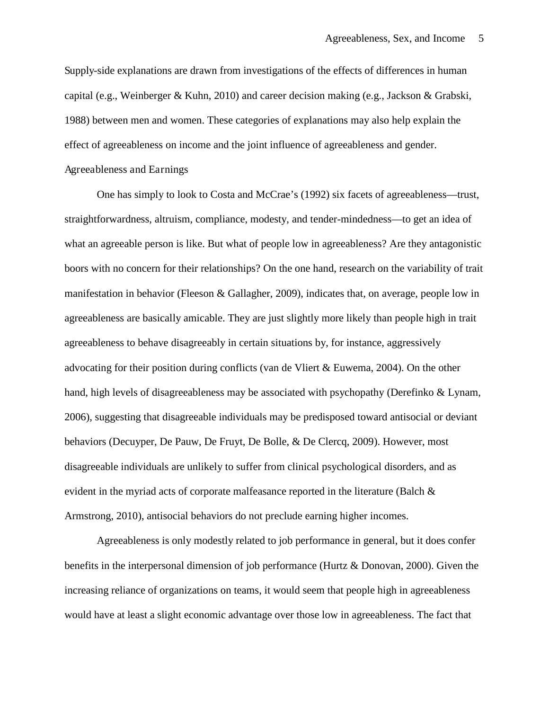Supply-side explanations are drawn from investigations of the effects of differences in human capital (e.g., Weinberger & Kuhn, 2010) and career decision making (e.g., Jackson & Grabski, 1988) between men and women. These categories of explanations may also help explain the effect of agreeableness on income and the joint influence of agreeableness and gender. Agreeableness and Earnings

One has simply to look to Costa and McCrae's (1992) six facets of agreeableness—trust, straightforwardness, altruism, compliance, modesty, and tender-mindedness—to get an idea of what an agreeable person is like. But what of people low in agreeableness? Are they antagonistic boors with no concern for their relationships? On the one hand, research on the variability of trait manifestation in behavior (Fleeson & Gallagher, 2009), indicates that, on average, people low in agreeableness are basically amicable. They are just slightly more likely than people high in trait agreeableness to behave disagreeably in certain situations by, for instance, aggressively advocating for their position during conflicts (van de Vliert & Euwema, 2004). On the other hand, high levels of disagreeableness may be associated with psychopathy (Derefinko & Lynam, 2006), suggesting that disagreeable individuals may be predisposed toward antisocial or deviant behaviors (Decuyper, De Pauw, De Fruyt, De Bolle, & De Clercq, 2009). However, most disagreeable individuals are unlikely to suffer from clinical psychological disorders, and as evident in the myriad acts of corporate malfeasance reported in the literature (Balch  $\&$ Armstrong, 2010), antisocial behaviors do not preclude earning higher incomes.

Agreeableness is only modestly related to job performance in general, but it does confer benefits in the interpersonal dimension of job performance (Hurtz & Donovan, 2000). Given the increasing reliance of organizations on teams, it would seem that people high in agreeableness would have at least a slight economic advantage over those low in agreeableness. The fact that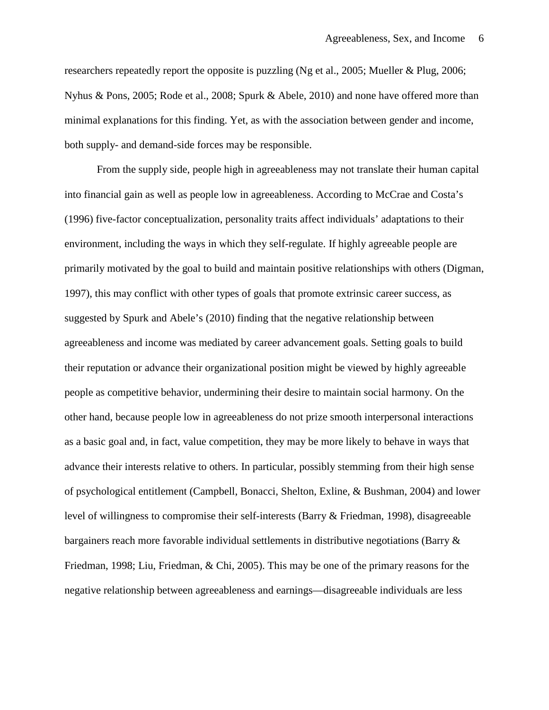researchers repeatedly report the opposite is puzzling (Ng et al., 2005; Mueller & Plug, 2006; Nyhus & Pons, 2005; Rode et al., 2008; Spurk & Abele, 2010) and none have offered more than minimal explanations for this finding. Yet, as with the association between gender and income, both supply- and demand-side forces may be responsible.

From the supply side, people high in agreeableness may not translate their human capital into financial gain as well as people low in agreeableness. According to McCrae and Costa's (1996) five-factor conceptualization, personality traits affect individuals' adaptations to their environment, including the ways in which they self-regulate. If highly agreeable people are primarily motivated by the goal to build and maintain positive relationships with others (Digman, 1997), this may conflict with other types of goals that promote extrinsic career success, as suggested by Spurk and Abele's (2010) finding that the negative relationship between agreeableness and income was mediated by career advancement goals. Setting goals to build their reputation or advance their organizational position might be viewed by highly agreeable people as competitive behavior, undermining their desire to maintain social harmony. On the other hand, because people low in agreeableness do not prize smooth interpersonal interactions as a basic goal and, in fact, value competition, they may be more likely to behave in ways that advance their interests relative to others. In particular, possibly stemming from their high sense of psychological entitlement (Campbell, Bonacci, Shelton, Exline, & Bushman, 2004) and lower level of willingness to compromise their self-interests (Barry & Friedman, 1998), disagreeable bargainers reach more favorable individual settlements in distributive negotiations (Barry & Friedman, 1998; Liu, Friedman, & Chi, 2005). This may be one of the primary reasons for the negative relationship between agreeableness and earnings—disagreeable individuals are less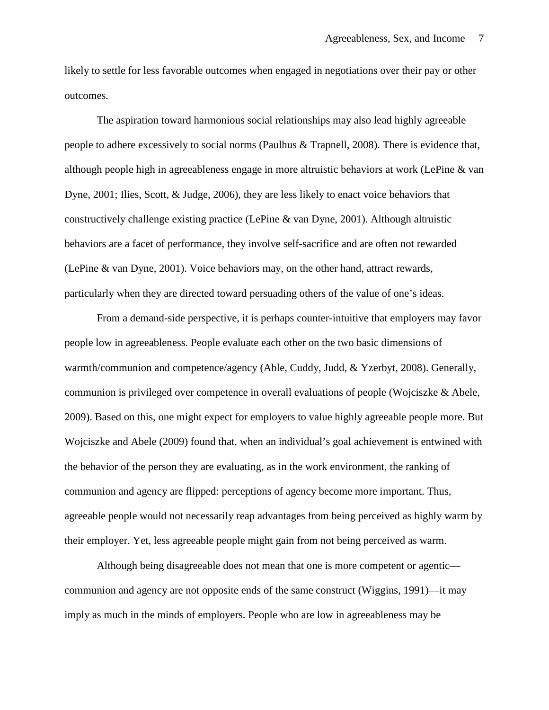likely to settle for less favorable outcomes when engaged in negotiations over their pay or other outcomes.

The aspiration toward harmonious social relationships may also lead highly agreeable people to adhere excessively to social norms (Paulhus & Trapnell, 2008). There is evidence that, although people high in agreeableness engage in more altruistic behaviors at work (LePine & van Dyne, 2001; Ilies, Scott, & Judge, 2006), they are less likely to enact voice behaviors that constructively challenge existing practice (LePine & van Dyne, 2001). Although altruistic behaviors are a facet of performance, they involve self-sacrifice and are often not rewarded (LePine & van Dyne, 2001). Voice behaviors may, on the other hand, attract rewards, particularly when they are directed toward persuading others of the value of one's ideas.

From a demand-side perspective, it is perhaps counter-intuitive that employers may favor people low in agreeableness. People evaluate each other on the two basic dimensions of warmth/communion and competence/agency (Able, Cuddy, Judd, & Yzerbyt, 2008). Generally, communion is privileged over competence in overall evaluations of people (Wojciszke & Abele, 2009). Based on this, one might expect for employers to value highly agreeable people more. But Wojciszke and Abele (2009) found that, when an individual's goal achievement is entwined with the behavior of the person they are evaluating, as in the work environment, the ranking of communion and agency are flipped: perceptions of agency become more important. Thus, agreeable people would not necessarily reap advantages from being perceived as highly warm by their employer. Yet, less agreeable people might gain from not being perceived as warm.

Although being disagreeable does not mean that one is more competent or agentic communion and agency are not opposite ends of the same construct (Wiggins, 1991)—it may imply as much in the minds of employers. People who are low in agreeableness may be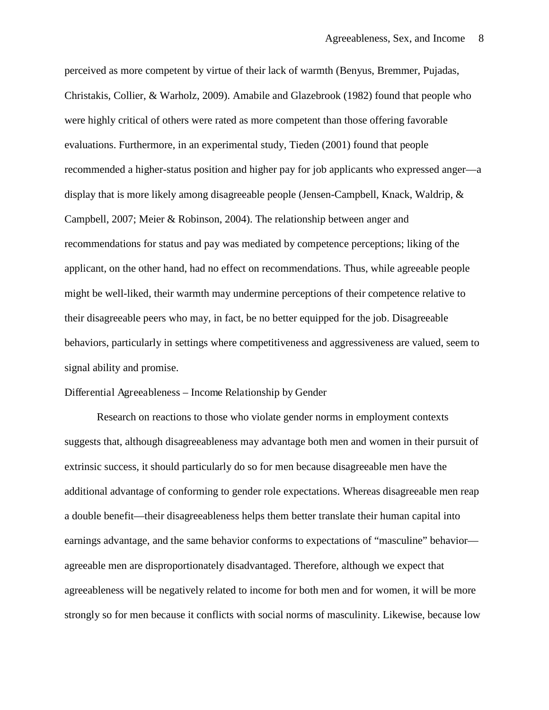perceived as more competent by virtue of their lack of warmth (Benyus, Bremmer, Pujadas, Christakis, Collier, & Warholz, 2009). Amabile and Glazebrook (1982) found that people who were highly critical of others were rated as more competent than those offering favorable evaluations. Furthermore, in an experimental study, Tieden (2001) found that people recommended a higher-status position and higher pay for job applicants who expressed anger—a display that is more likely among disagreeable people (Jensen-Campbell, Knack, Waldrip, & Campbell, 2007; Meier & Robinson, 2004). The relationship between anger and recommendations for status and pay was mediated by competence perceptions; liking of the applicant, on the other hand, had no effect on recommendations. Thus, while agreeable people might be well-liked, their warmth may undermine perceptions of their competence relative to their disagreeable peers who may, in fact, be no better equipped for the job. Disagreeable behaviors, particularly in settings where competitiveness and aggressiveness are valued, seem to signal ability and promise.

## Differential Agreeableness – Income Relationship by Gender

Research on reactions to those who violate gender norms in employment contexts suggests that, although disagreeableness may advantage both men and women in their pursuit of extrinsic success, it should particularly do so for men because disagreeable men have the additional advantage of conforming to gender role expectations. Whereas disagreeable men reap a double benefit—their disagreeableness helps them better translate their human capital into earnings advantage, and the same behavior conforms to expectations of "masculine" behavior agreeable men are disproportionately disadvantaged. Therefore, although we expect that agreeableness will be negatively related to income for both men and for women, it will be more strongly so for men because it conflicts with social norms of masculinity. Likewise, because low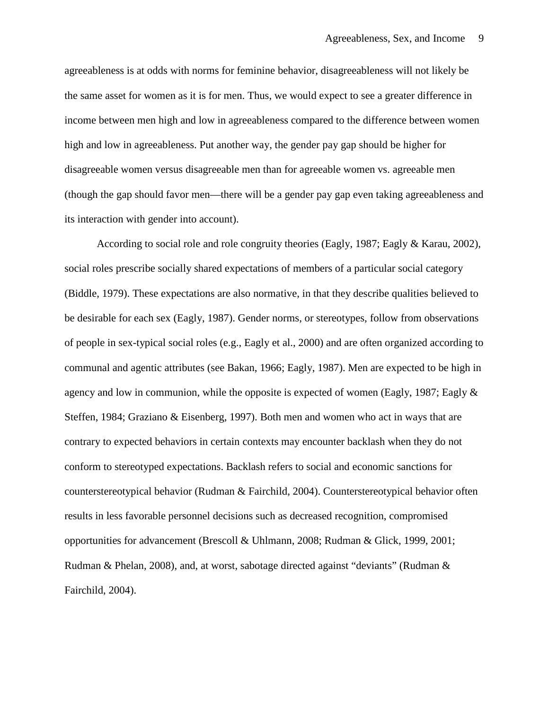agreeableness is at odds with norms for feminine behavior, disagreeableness will not likely be the same asset for women as it is for men. Thus, we would expect to see a greater difference in income between men high and low in agreeableness compared to the difference between women high and low in agreeableness. Put another way, the gender pay gap should be higher for disagreeable women versus disagreeable men than for agreeable women vs. agreeable men (though the gap should favor men—there will be a gender pay gap even taking agreeableness and its interaction with gender into account).

According to social role and role congruity theories (Eagly, 1987; Eagly & Karau, 2002), social roles prescribe socially shared expectations of members of a particular social category (Biddle, 1979). These expectations are also normative, in that they describe qualities believed to be desirable for each sex (Eagly, 1987). Gender norms, or stereotypes, follow from observations of people in sex-typical social roles (e.g., Eagly et al., 2000) and are often organized according to communal and agentic attributes (see Bakan, 1966; Eagly, 1987). Men are expected to be high in agency and low in communion, while the opposite is expected of women (Eagly, 1987; Eagly  $\&$ Steffen, 1984; Graziano & Eisenberg, 1997). Both men and women who act in ways that are contrary to expected behaviors in certain contexts may encounter backlash when they do not conform to stereotyped expectations. Backlash refers to social and economic sanctions for counterstereotypical behavior (Rudman & Fairchild, 2004). Counterstereotypical behavior often results in less favorable personnel decisions such as decreased recognition, compromised opportunities for advancement (Brescoll & Uhlmann, 2008; Rudman & Glick, 1999, 2001; Rudman & Phelan, 2008), and, at worst, sabotage directed against "deviants" (Rudman & Fairchild, 2004).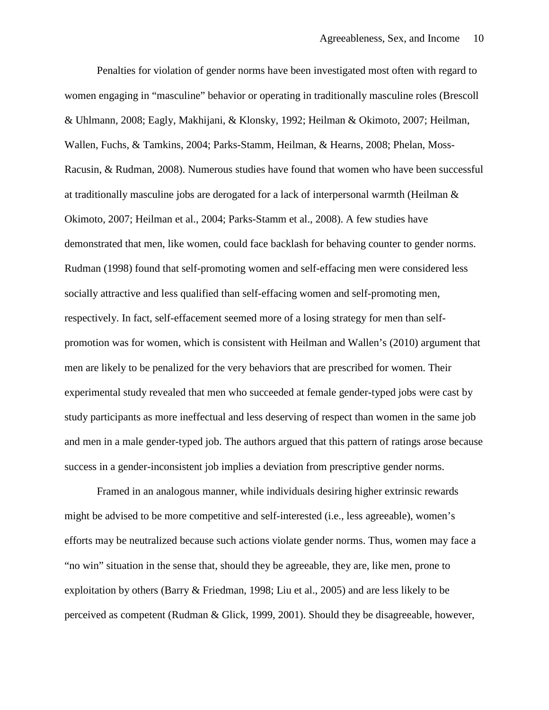Penalties for violation of gender norms have been investigated most often with regard to women engaging in "masculine" behavior or operating in traditionally masculine roles (Brescoll & Uhlmann, 2008; Eagly, Makhijani, & Klonsky, 1992; Heilman & Okimoto, 2007; Heilman, Wallen, Fuchs, & Tamkins, 2004; Parks-Stamm, Heilman, & Hearns, 2008; Phelan, Moss-Racusin, & Rudman, 2008). Numerous studies have found that women who have been successful at traditionally masculine jobs are derogated for a lack of interpersonal warmth (Heilman & Okimoto, 2007; Heilman et al., 2004; Parks-Stamm et al., 2008). A few studies have demonstrated that men, like women, could face backlash for behaving counter to gender norms. Rudman (1998) found that self-promoting women and self-effacing men were considered less socially attractive and less qualified than self-effacing women and self-promoting men, respectively. In fact, self-effacement seemed more of a losing strategy for men than selfpromotion was for women, which is consistent with Heilman and Wallen's (2010) argument that men are likely to be penalized for the very behaviors that are prescribed for women. Their experimental study revealed that men who succeeded at female gender-typed jobs were cast by study participants as more ineffectual and less deserving of respect than women in the same job and men in a male gender-typed job. The authors argued that this pattern of ratings arose because success in a gender-inconsistent job implies a deviation from prescriptive gender norms.

Framed in an analogous manner, while individuals desiring higher extrinsic rewards might be advised to be more competitive and self-interested (i.e., less agreeable), women's efforts may be neutralized because such actions violate gender norms. Thus, women may face a "no win" situation in the sense that, should they be agreeable, they are, like men, prone to exploitation by others (Barry & Friedman, 1998; Liu et al., 2005) and are less likely to be perceived as competent (Rudman & Glick, 1999, 2001). Should they be disagreeable, however,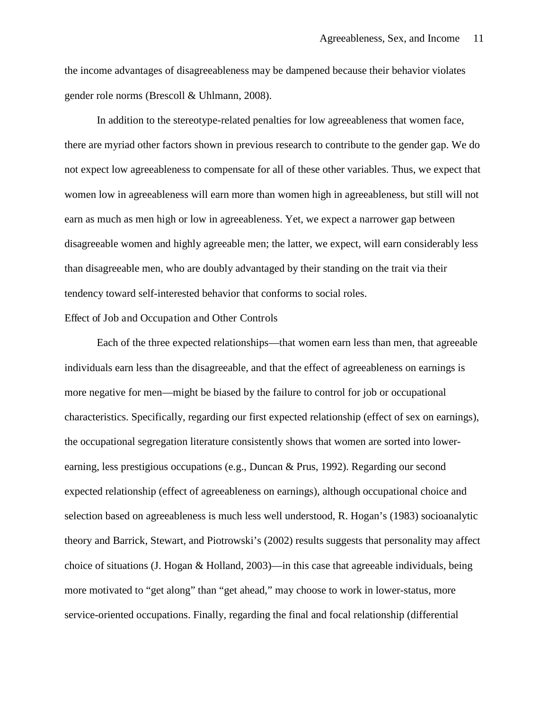the income advantages of disagreeableness may be dampened because their behavior violates gender role norms (Brescoll & Uhlmann, 2008).

In addition to the stereotype-related penalties for low agreeableness that women face, there are myriad other factors shown in previous research to contribute to the gender gap. We do not expect low agreeableness to compensate for all of these other variables. Thus, we expect that women low in agreeableness will earn more than women high in agreeableness, but still will not earn as much as men high or low in agreeableness. Yet, we expect a narrower gap between disagreeable women and highly agreeable men; the latter, we expect, will earn considerably less than disagreeable men, who are doubly advantaged by their standing on the trait via their tendency toward self-interested behavior that conforms to social roles.

## Effect of Job and Occupation and Other Controls

Each of the three expected relationships—that women earn less than men, that agreeable individuals earn less than the disagreeable, and that the effect of agreeableness on earnings is more negative for men—might be biased by the failure to control for job or occupational characteristics. Specifically, regarding our first expected relationship (effect of sex on earnings), the occupational segregation literature consistently shows that women are sorted into lowerearning, less prestigious occupations (e.g., Duncan & Prus, 1992). Regarding our second expected relationship (effect of agreeableness on earnings), although occupational choice and selection based on agreeableness is much less well understood, R. Hogan's (1983) socioanalytic theory and Barrick, Stewart, and Piotrowski's (2002) results suggests that personality may affect choice of situations (J. Hogan & Holland, 2003)—in this case that agreeable individuals, being more motivated to "get along" than "get ahead," may choose to work in lower-status, more service-oriented occupations. Finally, regarding the final and focal relationship (differential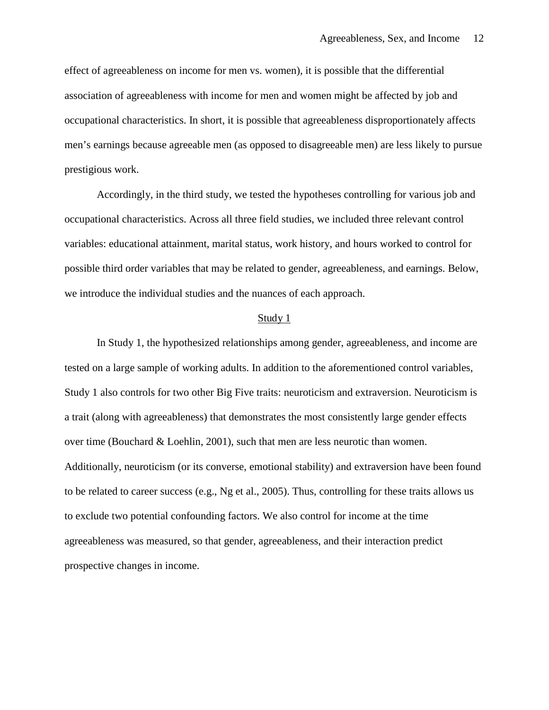effect of agreeableness on income for men vs. women), it is possible that the differential association of agreeableness with income for men and women might be affected by job and occupational characteristics. In short, it is possible that agreeableness disproportionately affects men's earnings because agreeable men (as opposed to disagreeable men) are less likely to pursue prestigious work.

Accordingly, in the third study, we tested the hypotheses controlling for various job and occupational characteristics. Across all three field studies, we included three relevant control variables: educational attainment, marital status, work history, and hours worked to control for possible third order variables that may be related to gender, agreeableness, and earnings. Below, we introduce the individual studies and the nuances of each approach.

#### Study 1

In Study 1, the hypothesized relationships among gender, agreeableness, and income are tested on a large sample of working adults. In addition to the aforementioned control variables, Study 1 also controls for two other Big Five traits: neuroticism and extraversion. Neuroticism is a trait (along with agreeableness) that demonstrates the most consistently large gender effects over time (Bouchard & Loehlin, 2001), such that men are less neurotic than women. Additionally, neuroticism (or its converse, emotional stability) and extraversion have been found to be related to career success (e.g., Ng et al., 2005). Thus, controlling for these traits allows us to exclude two potential confounding factors. We also control for income at the time agreeableness was measured, so that gender, agreeableness, and their interaction predict prospective changes in income.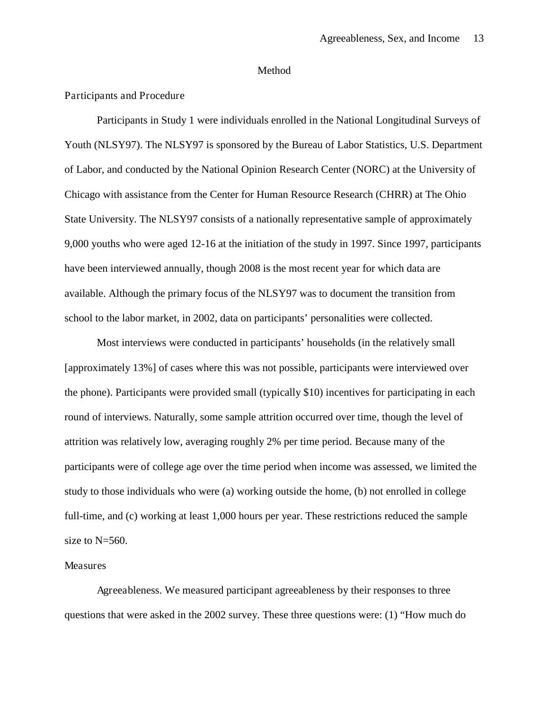## Method

## Participants and Procedure

Participants in Study 1 were individuals enrolled in the National Longitudinal Surveys of Youth (NLSY97). The NLSY97 is sponsored by the Bureau of Labor Statistics, U.S. Department of Labor, and conducted by the National Opinion Research Center (NORC) at the University of Chicago with assistance from the Center for Human Resource Research (CHRR) at The Ohio State University. The NLSY97 consists of a nationally representative sample of approximately 9,000 youths who were aged 12-16 at the initiation of the study in 1997. Since 1997, participants have been interviewed annually, though 2008 is the most recent year for which data are available. Although the primary focus of the NLSY97 was to document the transition from school to the labor market, in 2002, data on participants' personalities were collected.

Most interviews were conducted in participants' households (in the relatively small [approximately 13%] of cases where this was not possible, participants were interviewed over the phone). Participants were provided small (typically \$10) incentives for participating in each round of interviews. Naturally, some sample attrition occurred over time, though the level of attrition was relatively low, averaging roughly 2% per time period. Because many of the participants were of college age over the time period when income was assessed, we limited the study to those individuals who were (a) working outside the home, (b) not enrolled in college full-time, and (c) working at least 1,000 hours per year. These restrictions reduced the sample size to N=560.

#### Measures

Agreeableness. We measured participant agreeableness by their responses to three questions that were asked in the 2002 survey. These three questions were: (1) "How much do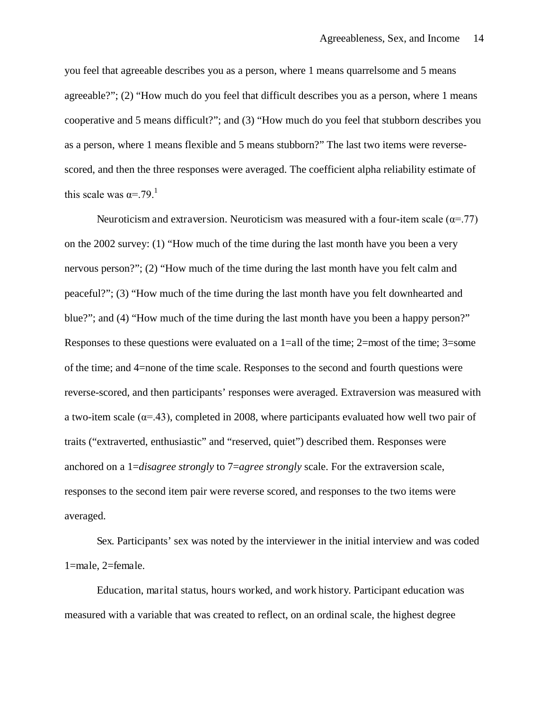you feel that agreeable describes you as a person, where 1 means quarrelsome and 5 means agreeable?"; (2) "How much do you feel that difficult describes you as a person, where 1 means cooperative and 5 means difficult?"; and (3) "How much do you feel that stubborn describes you as a person, where 1 means flexible and 5 means stubborn?" The last two items were reversescored, and then the three responses were averaged. The coefficient alpha reliability estimate of this scale was  $\alpha = 79$ <sup>1</sup>

Neuroticism and extraversion. Neuroticism was measured with a four-item scale ( $\alpha$ =.77) on the 2002 survey: (1) "How much of the time during the last month have you been a very nervous person?"; (2) "How much of the time during the last month have you felt calm and peaceful?"; (3) "How much of the time during the last month have you felt downhearted and blue?"; and (4) "How much of the time during the last month have you been a happy person?" Responses to these questions were evaluated on a  $1$ =all of the time; 2=most of the time; 3=some of the time; and 4=none of the time scale. Responses to the second and fourth questions were reverse-scored, and then participants' responses were averaged. Extraversion was measured with a two-item scale ( $\alpha$ =.43), completed in 2008, where participants evaluated how well two pair of traits ("extraverted, enthusiastic" and "reserved, quiet") described them. Responses were anchored on a 1=*disagree strongly* to 7=*agree strongly* scale. For the extraversion scale, responses to the second item pair were reverse scored, and responses to the two items were averaged.

Sex. Participants' sex was noted by the interviewer in the initial interview and was coded 1=male, 2=female.

Education, marital status, hours worked, and work history. Participant education was measured with a variable that was created to reflect, on an ordinal scale, the highest degree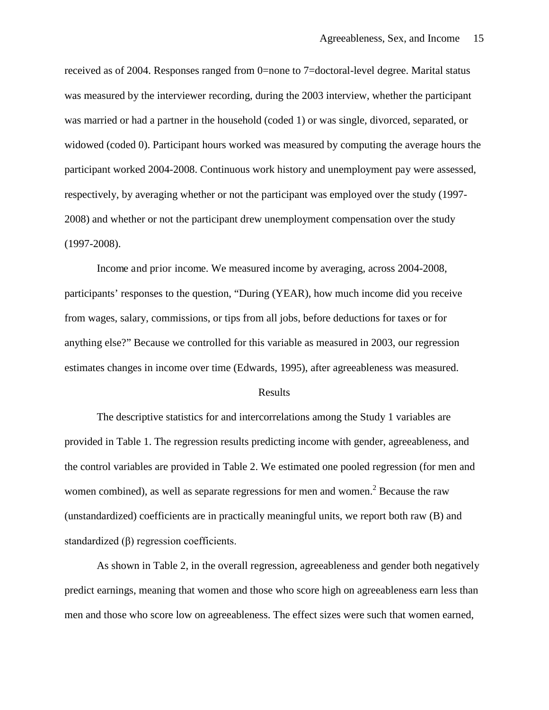received as of 2004. Responses ranged from 0=none to 7=doctoral-level degree. Marital status was measured by the interviewer recording, during the 2003 interview, whether the participant was married or had a partner in the household (coded 1) or was single, divorced, separated, or widowed (coded 0). Participant hours worked was measured by computing the average hours the participant worked 2004-2008. Continuous work history and unemployment pay were assessed, respectively, by averaging whether or not the participant was employed over the study (1997- 2008) and whether or not the participant drew unemployment compensation over the study (1997-2008).

Income and prior income. We measured income by averaging, across 2004-2008, participants' responses to the question, "During (YEAR), how much income did you receive from wages, salary, commissions, or tips from all jobs, before deductions for taxes or for anything else?" Because we controlled for this variable as measured in 2003, our regression estimates changes in income over time (Edwards, 1995), after agreeableness was measured.

#### Results

The descriptive statistics for and intercorrelations among the Study 1 variables are provided in Table 1. The regression results predicting income with gender, agreeableness, and the control variables are provided in Table 2. We estimated one pooled regression (for men and women combined), as well as separate regressions for men and women.<sup>2</sup> Because the raw (unstandardized) coefficients are in practically meaningful units, we report both raw (B) and standardized (β) regression coefficients.

As shown in Table 2, in the overall regression, agreeableness and gender both negatively predict earnings, meaning that women and those who score high on agreeableness earn less than men and those who score low on agreeableness. The effect sizes were such that women earned,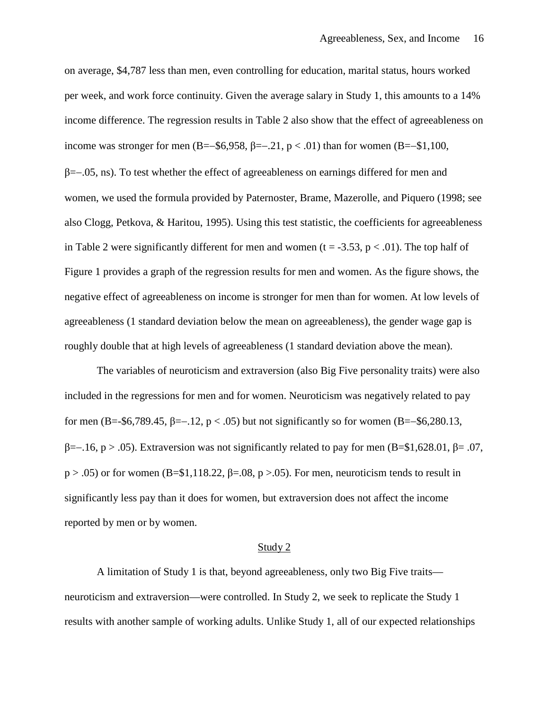on average, \$4,787 less than men, even controlling for education, marital status, hours worked per week, and work force continuity. Given the average salary in Study 1, this amounts to a 14% income difference. The regression results in Table 2 also show that the effect of agreeableness on income was stronger for men (B=–\$6,958,  $\beta$ =–.21, p < .01) than for women (B=–\$1,100, β=−.05, ns). To test whether the effect of agreeableness on earnings differed for men and women, we used the formula provided by Paternoster, Brame, Mazerolle, and Piquero (1998; see also Clogg, Petkova, & Haritou, 1995). Using this test statistic, the coefficients for agreeableness in Table 2 were significantly different for men and women ( $t = -3.53$ ,  $p < .01$ ). The top half of Figure 1 provides a graph of the regression results for men and women. As the figure shows, the negative effect of agreeableness on income is stronger for men than for women. At low levels of agreeableness (1 standard deviation below the mean on agreeableness), the gender wage gap is roughly double that at high levels of agreeableness (1 standard deviation above the mean).

The variables of neuroticism and extraversion (also Big Five personality traits) were also included in the regressions for men and for women. Neuroticism was negatively related to pay for men (B=-\$6,789.45, β=−.12, p < .05) but not significantly so for women (B=−\$6,280.13, β=−.16, p > .05). Extraversion was not significantly related to pay for men (B=\$1,628.01, β= .07,  $p > .05$ ) or for women (B=\$1,118.22,  $\beta = .08$ ,  $p > .05$ ). For men, neuroticism tends to result in significantly less pay than it does for women, but extraversion does not affect the income reported by men or by women.

#### Study 2

A limitation of Study 1 is that, beyond agreeableness, only two Big Five traits neuroticism and extraversion—were controlled. In Study 2, we seek to replicate the Study 1 results with another sample of working adults. Unlike Study 1, all of our expected relationships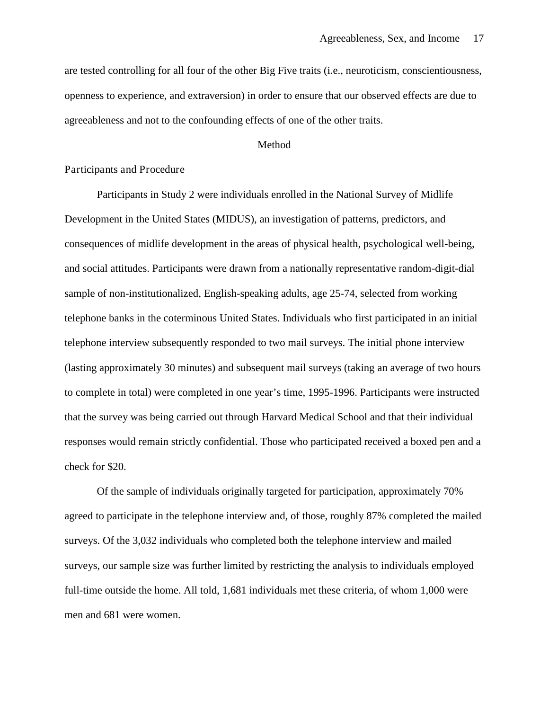are tested controlling for all four of the other Big Five traits (i.e., neuroticism, conscientiousness, openness to experience, and extraversion) in order to ensure that our observed effects are due to agreeableness and not to the confounding effects of one of the other traits.

## Method

## Participants and Procedure

Participants in Study 2 were individuals enrolled in the National Survey of Midlife Development in the United States (MIDUS), an investigation of patterns, predictors, and consequences of midlife development in the areas of physical health, psychological well-being, and social attitudes. Participants were drawn from a nationally representative random-digit-dial sample of non-institutionalized, English-speaking adults, age 25-74, selected from working telephone banks in the coterminous United States. Individuals who first participated in an initial telephone interview subsequently responded to two mail surveys. The initial phone interview (lasting approximately 30 minutes) and subsequent mail surveys (taking an average of two hours to complete in total) were completed in one year's time, 1995-1996. Participants were instructed that the survey was being carried out through Harvard Medical School and that their individual responses would remain strictly confidential. Those who participated received a boxed pen and a check for \$20.

Of the sample of individuals originally targeted for participation, approximately 70% agreed to participate in the telephone interview and, of those, roughly 87% completed the mailed surveys. Of the 3,032 individuals who completed both the telephone interview and mailed surveys, our sample size was further limited by restricting the analysis to individuals employed full-time outside the home. All told, 1,681 individuals met these criteria, of whom 1,000 were men and 681 were women.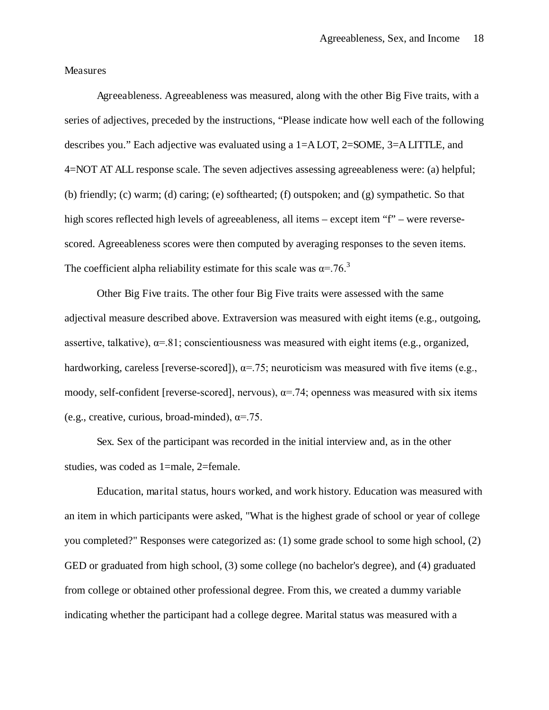Measures

Agreeableness. Agreeableness was measured, along with the other Big Five traits, with a series of adjectives, preceded by the instructions, "Please indicate how well each of the following describes you." Each adjective was evaluated using a 1=A LOT, 2=SOME, 3=A LITTLE, and 4=NOT AT ALL response scale. The seven adjectives assessing agreeableness were: (a) helpful; (b) friendly; (c) warm; (d) caring; (e) softhearted; (f) outspoken; and (g) sympathetic. So that high scores reflected high levels of agreeableness, all items – except item "f" – were reversescored. Agreeableness scores were then computed by averaging responses to the seven items. The coefficient alpha reliability estimate for this scale was  $\alpha = 76$ .<sup>3</sup>

Other Big Five traits. The other four Big Five traits were assessed with the same adjectival measure described above. Extraversion was measured with eight items (e.g., outgoing, assertive, talkative),  $\alpha = 81$ ; conscientiousness was measured with eight items (e.g., organized, hardworking, careless [reverse-scored]),  $\alpha$ =.75; neuroticism was measured with five items (e.g., moody, self-confident [reverse-scored], nervous),  $\alpha$ =.74; openness was measured with six items (e.g., creative, curious, broad-minded),  $\alpha$ =.75.

Sex. Sex of the participant was recorded in the initial interview and, as in the other studies, was coded as 1=male, 2=female.

Education, marital status, hours worked, and work history. Education was measured with an item in which participants were asked, "What is the highest grade of school or year of college you completed?" Responses were categorized as: (1) some grade school to some high school, (2) GED or graduated from high school, (3) some college (no bachelor's degree), and (4) graduated from college or obtained other professional degree. From this, we created a dummy variable indicating whether the participant had a college degree. Marital status was measured with a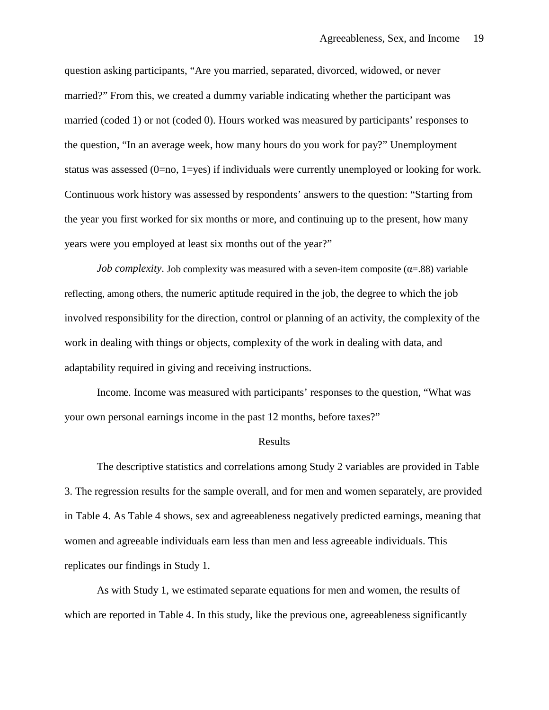question asking participants, "Are you married, separated, divorced, widowed, or never married?" From this, we created a dummy variable indicating whether the participant was married (coded 1) or not (coded 0). Hours worked was measured by participants' responses to the question, "In an average week, how many hours do you work for pay?" Unemployment status was assessed (0=no, 1=yes) if individuals were currently unemployed or looking for work. Continuous work history was assessed by respondents' answers to the question: "Starting from the year you first worked for six months or more, and continuing up to the present, how many years were you employed at least six months out of the year?"

*Job complexity*. Job complexity was measured with a seven-item composite  $(\alpha = 0.88)$  variable reflecting, among others, the numeric aptitude required in the job, the degree to which the job involved responsibility for the direction, control or planning of an activity, the complexity of the work in dealing with things or objects, complexity of the work in dealing with data, and adaptability required in giving and receiving instructions.

Income. Income was measured with participants' responses to the question, "What was your own personal earnings income in the past 12 months, before taxes?"

#### Results

The descriptive statistics and correlations among Study 2 variables are provided in Table 3. The regression results for the sample overall, and for men and women separately, are provided in Table 4. As Table 4 shows, sex and agreeableness negatively predicted earnings, meaning that women and agreeable individuals earn less than men and less agreeable individuals. This replicates our findings in Study 1.

As with Study 1, we estimated separate equations for men and women, the results of which are reported in Table 4. In this study, like the previous one, agreeableness significantly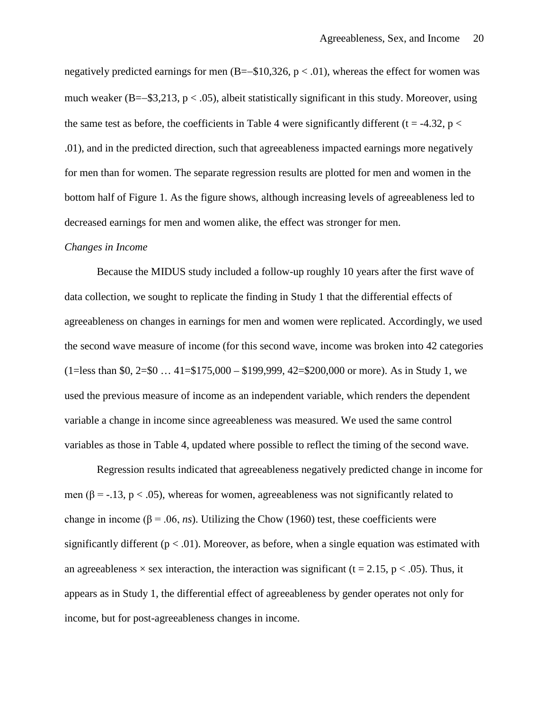negatively predicted earnings for men (B=−\$10,326, p < .01), whereas the effect for women was much weaker (B=–\$3,213, p < .05), albeit statistically significant in this study. Moreover, using the same test as before, the coefficients in Table 4 were significantly different ( $t = -4.32$ ,  $p <$ .01), and in the predicted direction, such that agreeableness impacted earnings more negatively for men than for women. The separate regression results are plotted for men and women in the bottom half of Figure 1. As the figure shows, although increasing levels of agreeableness led to decreased earnings for men and women alike, the effect was stronger for men.

#### *Changes in Income*

Because the MIDUS study included a follow-up roughly 10 years after the first wave of data collection, we sought to replicate the finding in Study 1 that the differential effects of agreeableness on changes in earnings for men and women were replicated. Accordingly, we used the second wave measure of income (for this second wave, income was broken into 42 categories  $(1=\text{less than } 80, 2=80 \dots 41=\frac{1}{3175,000} - \frac{1}{3199,999}, 42=\frac{200,000}{1000}$  or more). As in Study 1, we used the previous measure of income as an independent variable, which renders the dependent variable a change in income since agreeableness was measured. We used the same control variables as those in Table 4, updated where possible to reflect the timing of the second wave.

Regression results indicated that agreeableness negatively predicted change in income for men ( $\beta$  = -.13, p < .05), whereas for women, agreeableness was not significantly related to change in income ( $\beta$  = .06, *ns*). Utilizing the Chow (1960) test, these coefficients were significantly different ( $p < .01$ ). Moreover, as before, when a single equation was estimated with an agreeableness  $\times$  sex interaction, the interaction was significant (t = 2.15, p < .05). Thus, it appears as in Study 1, the differential effect of agreeableness by gender operates not only for income, but for post-agreeableness changes in income.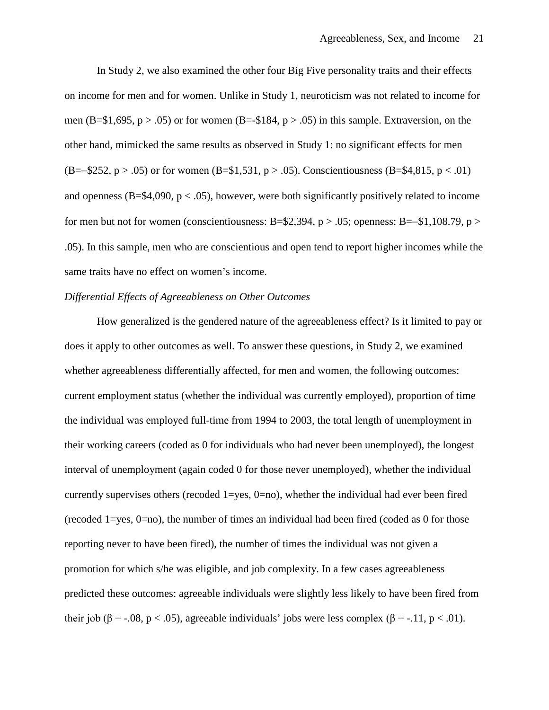In Study 2, we also examined the other four Big Five personality traits and their effects on income for men and for women. Unlike in Study 1, neuroticism was not related to income for men (B=\$1,695,  $p > .05$ ) or for women (B=-\$184,  $p > .05$ ) in this sample. Extraversion, on the other hand, mimicked the same results as observed in Study 1: no significant effects for men  $(B=-\$252, p > .05)$  or for women  $(B=\$1,531, p > .05)$ . Conscientiousness  $(B=\$4,815, p < .01)$ and openness ( $B = $4,090, p < .05$ ), however, were both significantly positively related to income for men but not for women (conscientiousness: B=\$2,394, p > .05; openness: B=–\$1,108.79, p > .05). In this sample, men who are conscientious and open tend to report higher incomes while the same traits have no effect on women's income.

## *Differential Effects of Agreeableness on Other Outcomes*

How generalized is the gendered nature of the agreeableness effect? Is it limited to pay or does it apply to other outcomes as well. To answer these questions, in Study 2, we examined whether agreeableness differentially affected, for men and women, the following outcomes: current employment status (whether the individual was currently employed), proportion of time the individual was employed full-time from 1994 to 2003, the total length of unemployment in their working careers (coded as 0 for individuals who had never been unemployed), the longest interval of unemployment (again coded 0 for those never unemployed), whether the individual currently supervises others (recoded  $1 = v$ es,  $0 = n$ ), whether the individual had ever been fired (recoded 1=yes, 0=no), the number of times an individual had been fired (coded as 0 for those reporting never to have been fired), the number of times the individual was not given a promotion for which s/he was eligible, and job complexity. In a few cases agreeableness predicted these outcomes: agreeable individuals were slightly less likely to have been fired from their job ( $\beta$  = -.08, p < .05), agreeable individuals' jobs were less complex ( $\beta$  = -.11, p < .01).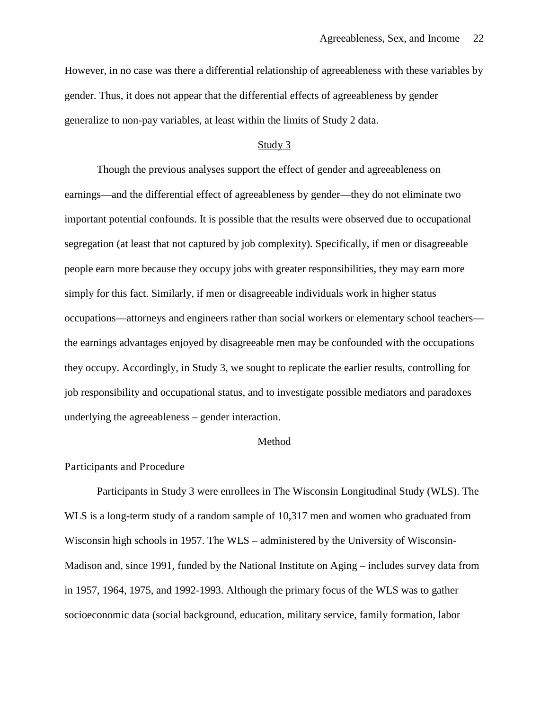However, in no case was there a differential relationship of agreeableness with these variables by gender. Thus, it does not appear that the differential effects of agreeableness by gender generalize to non-pay variables, at least within the limits of Study 2 data.

## Study 3

Though the previous analyses support the effect of gender and agreeableness on earnings—and the differential effect of agreeableness by gender—they do not eliminate two important potential confounds. It is possible that the results were observed due to occupational segregation (at least that not captured by job complexity). Specifically, if men or disagreeable people earn more because they occupy jobs with greater responsibilities, they may earn more simply for this fact. Similarly, if men or disagreeable individuals work in higher status occupations—attorneys and engineers rather than social workers or elementary school teachers the earnings advantages enjoyed by disagreeable men may be confounded with the occupations they occupy. Accordingly, in Study 3, we sought to replicate the earlier results, controlling for job responsibility and occupational status, and to investigate possible mediators and paradoxes underlying the agreeableness – gender interaction.

#### Method

## Participants and Procedure

Participants in Study 3 were enrollees in The Wisconsin Longitudinal Study (WLS). The WLS is a long-term study of a random sample of 10,317 men and women who graduated from Wisconsin high schools in 1957. The WLS – administered by the University of Wisconsin-Madison and, since 1991, funded by the National Institute on Aging – includes survey data from in 1957, 1964, 1975, and 1992-1993. Although the primary focus of the WLS was to gather socioeconomic data (social background, education, military service, family formation, labor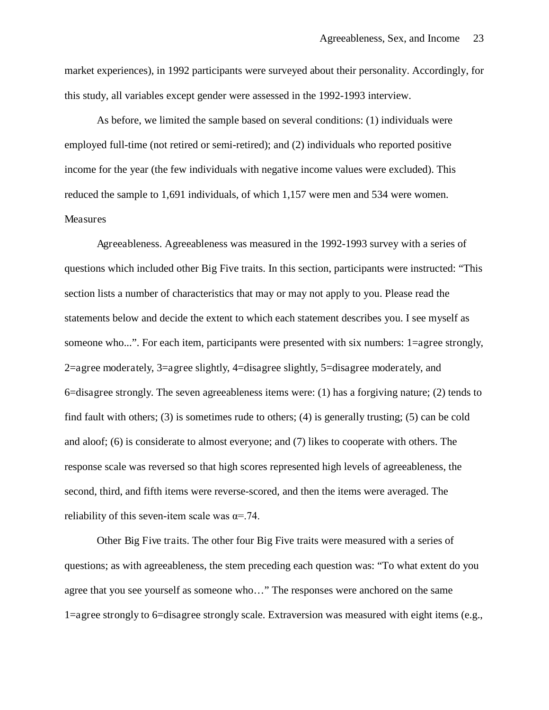market experiences), in 1992 participants were surveyed about their personality. Accordingly, for this study, all variables except gender were assessed in the 1992-1993 interview.

As before, we limited the sample based on several conditions: (1) individuals were employed full-time (not retired or semi-retired); and (2) individuals who reported positive income for the year (the few individuals with negative income values were excluded). This reduced the sample to 1,691 individuals, of which 1,157 were men and 534 were women. Measures

Agreeableness. Agreeableness was measured in the 1992-1993 survey with a series of questions which included other Big Five traits. In this section, participants were instructed: "This section lists a number of characteristics that may or may not apply to you. Please read the statements below and decide the extent to which each statement describes you. I see myself as someone who...". For each item, participants were presented with six numbers: 1=agree strongly, 2=agree moderately, 3=agree slightly, 4=disagree slightly, 5=disagree moderately, and 6=disagree strongly. The seven agreeableness items were: (1) has a forgiving nature; (2) tends to find fault with others; (3) is sometimes rude to others; (4) is generally trusting; (5) can be cold and aloof; (6) is considerate to almost everyone; and (7) likes to cooperate with others. The response scale was reversed so that high scores represented high levels of agreeableness, the second, third, and fifth items were reverse-scored, and then the items were averaged. The reliability of this seven-item scale was  $\alpha = .74$ .

Other Big Five traits. The other four Big Five traits were measured with a series of questions; as with agreeableness, the stem preceding each question was: "To what extent do you agree that you see yourself as someone who…" The responses were anchored on the same 1=agree strongly to 6=disagree strongly scale. Extraversion was measured with eight items (e.g.,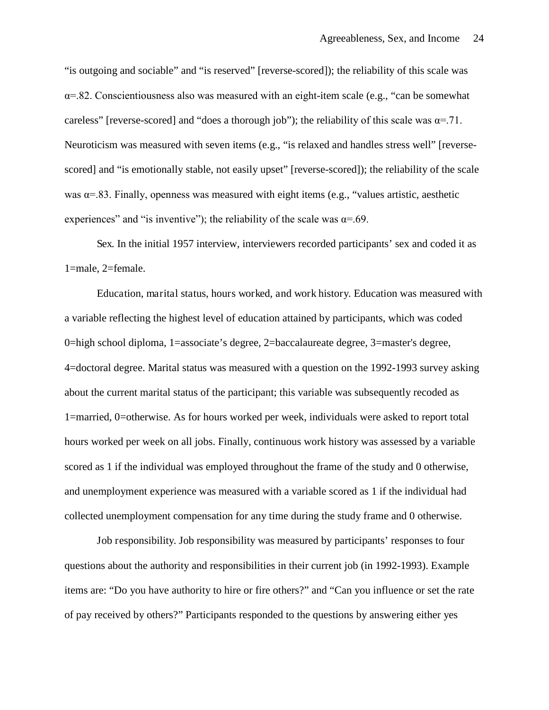"is outgoing and sociable" and "is reserved" [reverse-scored]); the reliability of this scale was  $\alpha$ =.82. Conscientiousness also was measured with an eight-item scale (e.g., "can be somewhat careless" [reverse-scored] and "does a thorough job"); the reliability of this scale was  $\alpha = 71$ . Neuroticism was measured with seven items (e.g., "is relaxed and handles stress well" [reversescored] and "is emotionally stable, not easily upset" [reverse-scored]); the reliability of the scale was  $\alpha$ =.83. Finally, openness was measured with eight items (e.g., "values artistic, aesthetic experiences" and "is inventive"); the reliability of the scale was  $\alpha = .69$ .

Sex. In the initial 1957 interview, interviewers recorded participants' sex and coded it as 1=male, 2=female.

Education, marital status, hours worked, and work history. Education was measured with a variable reflecting the highest level of education attained by participants, which was coded 0=high school diploma, 1=associate's degree, 2=baccalaureate degree, 3=master's degree, 4=doctoral degree. Marital status was measured with a question on the 1992-1993 survey asking about the current marital status of the participant; this variable was subsequently recoded as 1=married, 0=otherwise. As for hours worked per week, individuals were asked to report total hours worked per week on all jobs. Finally, continuous work history was assessed by a variable scored as 1 if the individual was employed throughout the frame of the study and 0 otherwise, and unemployment experience was measured with a variable scored as 1 if the individual had collected unemployment compensation for any time during the study frame and 0 otherwise.

Job responsibility. Job responsibility was measured by participants' responses to four questions about the authority and responsibilities in their current job (in 1992-1993). Example items are: "Do you have authority to hire or fire others?" and "Can you influence or set the rate of pay received by others?" Participants responded to the questions by answering either yes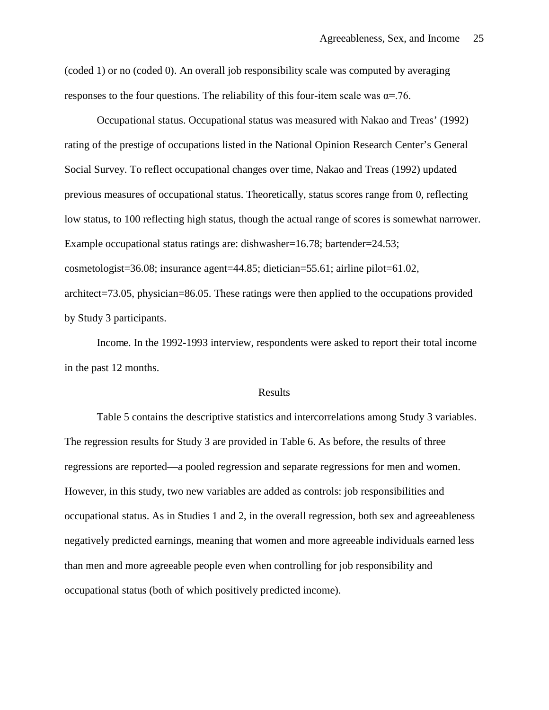(coded 1) or no (coded 0). An overall job responsibility scale was computed by averaging responses to the four questions. The reliability of this four-item scale was  $\alpha = 76$ .

Occupational status. Occupational status was measured with Nakao and Treas' (1992) rating of the prestige of occupations listed in the National Opinion Research Center's General Social Survey. To reflect occupational changes over time, Nakao and Treas (1992) updated previous measures of occupational status. Theoretically, status scores range from 0, reflecting low status, to 100 reflecting high status, though the actual range of scores is somewhat narrower. Example occupational status ratings are: dishwasher=16.78; bartender=24.53; cosmetologist=36.08; insurance agent=44.85; dietician=55.61; airline pilot=61.02, architect=73.05, physician=86.05. These ratings were then applied to the occupations provided by Study 3 participants.

Income. In the 1992-1993 interview, respondents were asked to report their total income in the past 12 months.

## Results

Table 5 contains the descriptive statistics and intercorrelations among Study 3 variables. The regression results for Study 3 are provided in Table 6. As before, the results of three regressions are reported—a pooled regression and separate regressions for men and women. However, in this study, two new variables are added as controls: job responsibilities and occupational status. As in Studies 1 and 2, in the overall regression, both sex and agreeableness negatively predicted earnings, meaning that women and more agreeable individuals earned less than men and more agreeable people even when controlling for job responsibility and occupational status (both of which positively predicted income).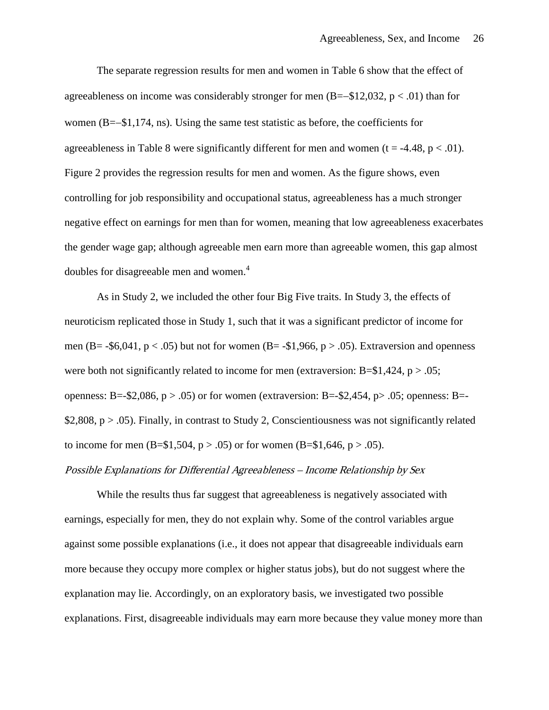The separate regression results for men and women in Table 6 show that the effect of agreeableness on income was considerably stronger for men  $(B=-\$12,032, p < .01)$  than for women (B=−\$1,174, ns). Using the same test statistic as before, the coefficients for agreeableness in Table 8 were significantly different for men and women ( $t = -4.48$ ,  $p < .01$ ). Figure 2 provides the regression results for men and women. As the figure shows, even controlling for job responsibility and occupational status, agreeableness has a much stronger negative effect on earnings for men than for women, meaning that low agreeableness exacerbates the gender wage gap; although agreeable men earn more than agreeable women, this gap almost doubles for disagreeable men and women.<sup>4</sup>

As in Study 2, we included the other four Big Five traits. In Study 3, the effects of neuroticism replicated those in Study 1, such that it was a significant predictor of income for men (B= -\$6,041,  $p < .05$ ) but not for women (B= -\$1,966,  $p > .05$ ). Extraversion and openness were both not significantly related to income for men (extraversion:  $B = $1,424, p > .05$ ; openness: B=-\$2,086, p > .05) or for women (extraversion: B=-\$2,454, p > .05; openness: B=-\$2,808,  $p > .05$ ). Finally, in contrast to Study 2, Conscientiousness was not significantly related to income for men  $(B=1,504, p > .05)$  or for women  $(B=1,646, p > .05)$ .

## Possible Explanations for Differential Agreeableness – Income Relationship by Sex

While the results thus far suggest that agreeableness is negatively associated with earnings, especially for men, they do not explain why. Some of the control variables argue against some possible explanations (i.e., it does not appear that disagreeable individuals earn more because they occupy more complex or higher status jobs), but do not suggest where the explanation may lie. Accordingly, on an exploratory basis, we investigated two possible explanations. First, disagreeable individuals may earn more because they value money more than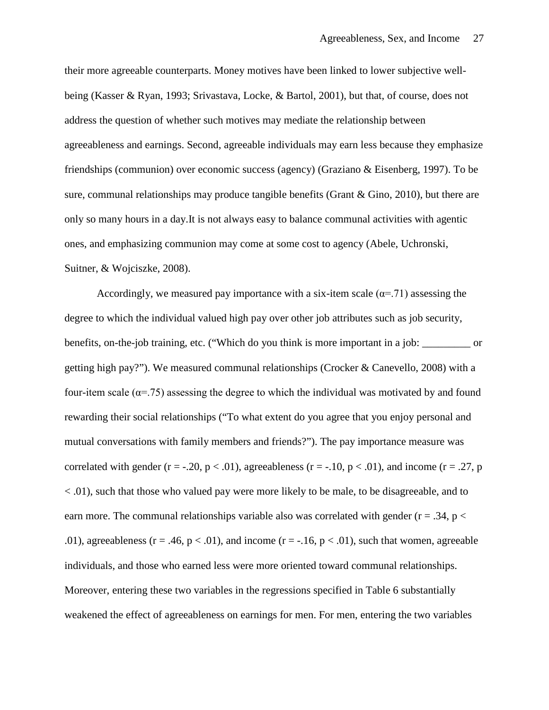their more agreeable counterparts. Money motives have been linked to lower subjective wellbeing (Kasser & Ryan, 1993; Srivastava, Locke, & Bartol, 2001), but that, of course, does not address the question of whether such motives may mediate the relationship between agreeableness and earnings. Second, agreeable individuals may earn less because they emphasize friendships (communion) over economic success (agency) (Graziano & Eisenberg, 1997). To be sure, communal relationships may produce tangible benefits (Grant & Gino, 2010), but there are only so many hours in a day.It is not always easy to balance communal activities with agentic ones, and emphasizing communion may come at some cost to agency (Abele, Uchronski, Suitner, & Wojciszke, 2008).

Accordingly, we measured pay importance with a six-item scale ( $\alpha$ =.71) assessing the degree to which the individual valued high pay over other job attributes such as job security, benefits, on-the-job training, etc. ("Which do you think is more important in a job: \_\_\_\_\_\_\_\_\_ or getting high pay?"). We measured communal relationships (Crocker & Canevello, 2008) with a four-item scale ( $\alpha$ =.75) assessing the degree to which the individual was motivated by and found rewarding their social relationships ("To what extent do you agree that you enjoy personal and mutual conversations with family members and friends?"). The pay importance measure was correlated with gender  $(r = -.20, p < .01)$ , agreeableness  $(r = -.10, p < .01)$ , and income  $(r = .27, p$ < .01), such that those who valued pay were more likely to be male, to be disagreeable, and to earn more. The communal relationships variable also was correlated with gender ( $r = .34$ ,  $p <$ .01), agreeableness ( $r = .46$ ,  $p < .01$ ), and income ( $r = .16$ ,  $p < .01$ ), such that women, agreeable individuals, and those who earned less were more oriented toward communal relationships. Moreover, entering these two variables in the regressions specified in Table 6 substantially weakened the effect of agreeableness on earnings for men. For men, entering the two variables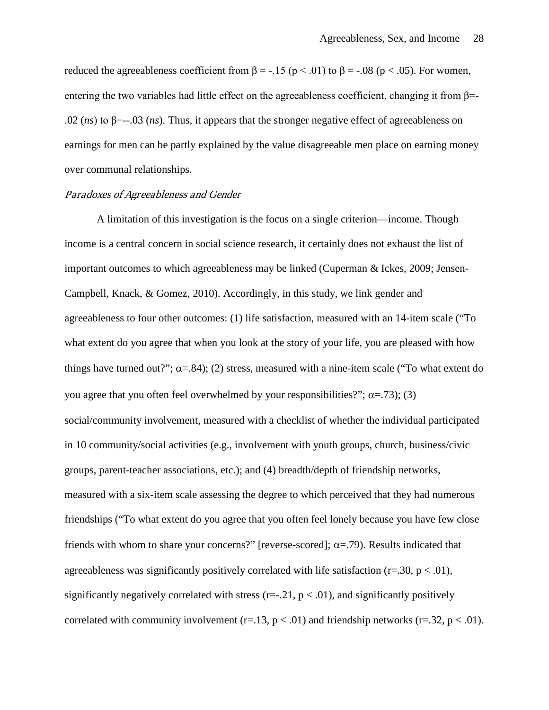reduced the agreeableness coefficient from  $\beta = -.15$  ( $p < .01$ ) to  $\beta = -.08$  ( $p < .05$ ). For women, entering the two variables had little effect on the agreeableness coefficient, changing it from  $\beta$ = .02 (*ns*) to  $\beta$ =--.03 (*ns*). Thus, it appears that the stronger negative effect of agreeableness on earnings for men can be partly explained by the value disagreeable men place on earning money over communal relationships.

### Paradoxes of Agreeableness and Gender

A limitation of this investigation is the focus on a single criterion—income. Though income is a central concern in social science research, it certainly does not exhaust the list of important outcomes to which agreeableness may be linked (Cuperman & Ickes, 2009; Jensen-Campbell, Knack, & Gomez, 2010). Accordingly, in this study, we link gender and agreeableness to four other outcomes: (1) life satisfaction, measured with an 14-item scale ("To what extent do you agree that when you look at the story of your life, you are pleased with how things have turned out?";  $\alpha = .84$ ); (2) stress, measured with a nine-item scale ("To what extent do you agree that you often feel overwhelmed by your responsibilities?";  $\alpha = .73$ ); (3) social/community involvement, measured with a checklist of whether the individual participated in 10 community/social activities (e.g., involvement with youth groups, church, business/civic groups, parent-teacher associations, etc.); and (4) breadth/depth of friendship networks, measured with a six-item scale assessing the degree to which perceived that they had numerous friendships ("To what extent do you agree that you often feel lonely because you have few close friends with whom to share your concerns?" [reverse-scored];  $\alpha$ =.79). Results indicated that agreeableness was significantly positively correlated with life satisfaction ( $r=.30$ ,  $p < .01$ ), significantly negatively correlated with stress ( $r=-1, p < 0.01$ ), and significantly positively correlated with community involvement  $(r=13, p < .01)$  and friendship networks  $(r=.32, p < .01)$ .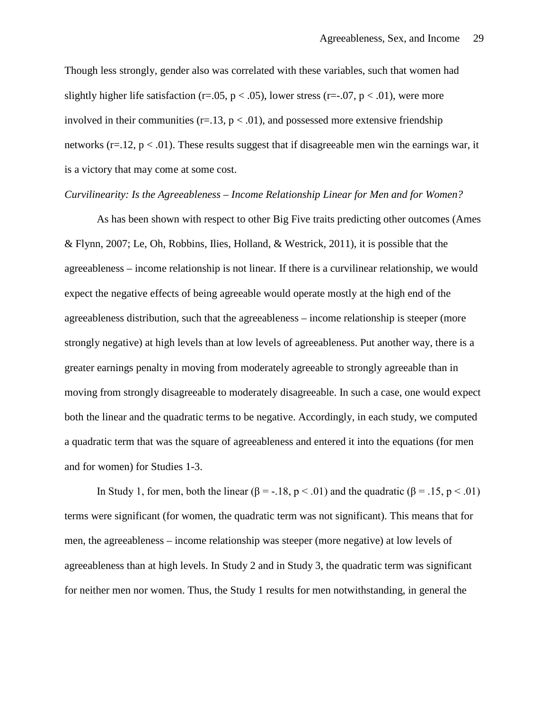Though less strongly, gender also was correlated with these variables, such that women had slightly higher life satisfaction (r=.05, p < .05), lower stress (r=-.07, p < .01), were more involved in their communities ( $r=13$ ,  $p < .01$ ), and possessed more extensive friendship networks ( $r=12$ ,  $p < 0.01$ ). These results suggest that if disagreeable men win the earnings war, it is a victory that may come at some cost.

#### *Curvilinearity: Is the Agreeableness – Income Relationship Linear for Men and for Women?*

As has been shown with respect to other Big Five traits predicting other outcomes (Ames & Flynn, 2007; Le, Oh, Robbins, Ilies, Holland, & Westrick, 2011), it is possible that the agreeableness – income relationship is not linear. If there is a curvilinear relationship, we would expect the negative effects of being agreeable would operate mostly at the high end of the agreeableness distribution, such that the agreeableness – income relationship is steeper (more strongly negative) at high levels than at low levels of agreeableness. Put another way, there is a greater earnings penalty in moving from moderately agreeable to strongly agreeable than in moving from strongly disagreeable to moderately disagreeable. In such a case, one would expect both the linear and the quadratic terms to be negative. Accordingly, in each study, we computed a quadratic term that was the square of agreeableness and entered it into the equations (for men and for women) for Studies 1-3.

In Study 1, for men, both the linear ( $\beta = -18$ ,  $p < .01$ ) and the quadratic ( $\beta = .15$ ,  $p < .01$ ) terms were significant (for women, the quadratic term was not significant). This means that for men, the agreeableness – income relationship was steeper (more negative) at low levels of agreeableness than at high levels. In Study 2 and in Study 3, the quadratic term was significant for neither men nor women. Thus, the Study 1 results for men notwithstanding, in general the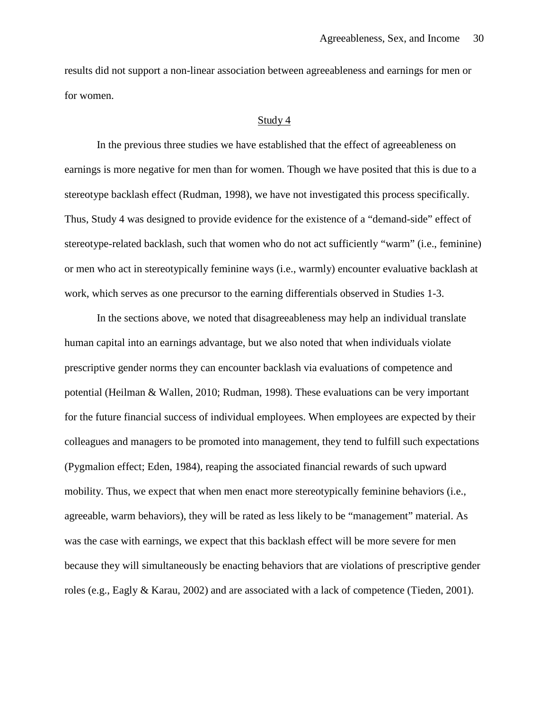results did not support a non-linear association between agreeableness and earnings for men or for women.

#### Study 4

In the previous three studies we have established that the effect of agreeableness on earnings is more negative for men than for women. Though we have posited that this is due to a stereotype backlash effect (Rudman, 1998), we have not investigated this process specifically. Thus, Study 4 was designed to provide evidence for the existence of a "demand-side" effect of stereotype-related backlash, such that women who do not act sufficiently "warm" (i.e., feminine) or men who act in stereotypically feminine ways (i.e., warmly) encounter evaluative backlash at work, which serves as one precursor to the earning differentials observed in Studies 1-3.

In the sections above, we noted that disagreeableness may help an individual translate human capital into an earnings advantage, but we also noted that when individuals violate prescriptive gender norms they can encounter backlash via evaluations of competence and potential (Heilman & Wallen, 2010; Rudman, 1998). These evaluations can be very important for the future financial success of individual employees. When employees are expected by their colleagues and managers to be promoted into management, they tend to fulfill such expectations (Pygmalion effect; Eden, 1984), reaping the associated financial rewards of such upward mobility. Thus, we expect that when men enact more stereotypically feminine behaviors (i.e., agreeable, warm behaviors), they will be rated as less likely to be "management" material. As was the case with earnings, we expect that this backlash effect will be more severe for men because they will simultaneously be enacting behaviors that are violations of prescriptive gender roles (e.g., Eagly & Karau, 2002) and are associated with a lack of competence (Tieden, 2001).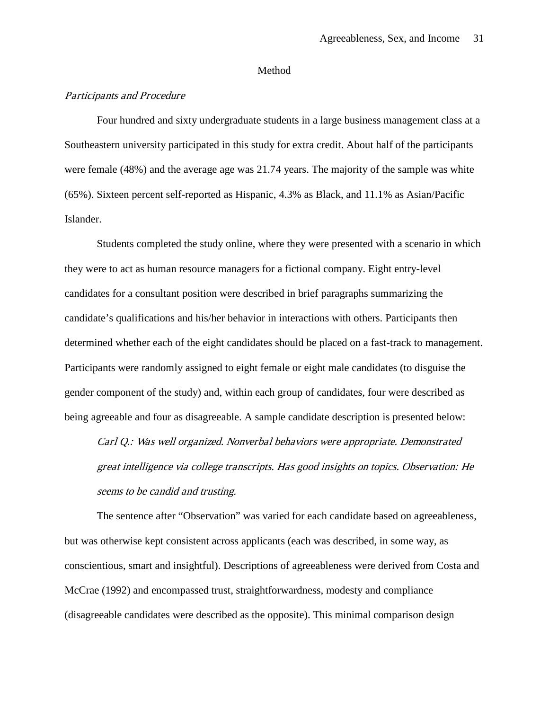#### Method

## Participants and Procedure

Four hundred and sixty undergraduate students in a large business management class at a Southeastern university participated in this study for extra credit. About half of the participants were female (48%) and the average age was 21.74 years. The majority of the sample was white (65%). Sixteen percent self-reported as Hispanic, 4.3% as Black, and 11.1% as Asian/Pacific Islander.

Students completed the study online, where they were presented with a scenario in which they were to act as human resource managers for a fictional company. Eight entry-level candidates for a consultant position were described in brief paragraphs summarizing the candidate's qualifications and his/her behavior in interactions with others. Participants then determined whether each of the eight candidates should be placed on a fast-track to management. Participants were randomly assigned to eight female or eight male candidates (to disguise the gender component of the study) and, within each group of candidates, four were described as being agreeable and four as disagreeable. A sample candidate description is presented below:

Carl Q.: Was well organized. Nonverbal behaviors were appropriate. Demonstrated great intelligence via college transcripts. Has good insights on topics. Observation: He seems to be candid and trusting.

The sentence after "Observation" was varied for each candidate based on agreeableness, but was otherwise kept consistent across applicants (each was described, in some way, as conscientious, smart and insightful). Descriptions of agreeableness were derived from Costa and McCrae (1992) and encompassed trust, straightforwardness, modesty and compliance (disagreeable candidates were described as the opposite). This minimal comparison design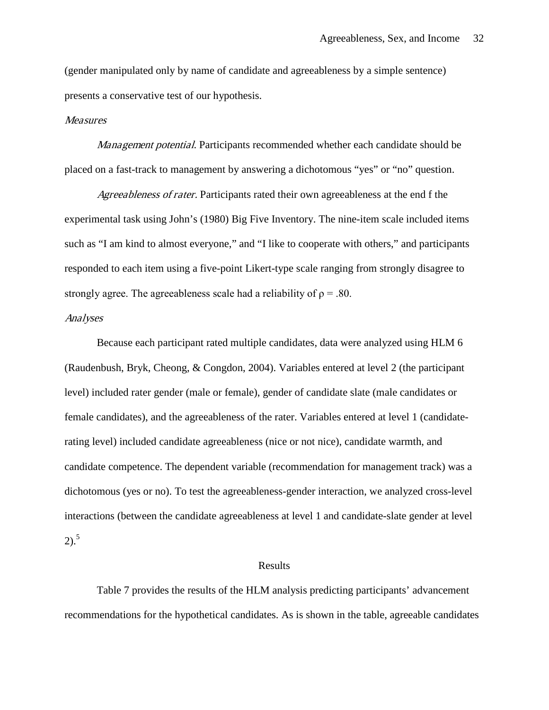(gender manipulated only by name of candidate and agreeableness by a simple sentence) presents a conservative test of our hypothesis.

### Measures

Management potential. Participants recommended whether each candidate should be placed on a fast-track to management by answering a dichotomous "yes" or "no" question.

Agreeableness of rater. Participants rated their own agreeableness at the end f the experimental task using John's (1980) Big Five Inventory. The nine-item scale included items such as "I am kind to almost everyone," and "I like to cooperate with others," and participants responded to each item using a five-point Likert-type scale ranging from strongly disagree to strongly agree. The agreeableness scale had a reliability of  $\rho = .80$ .

#### Analyses

Because each participant rated multiple candidates, data were analyzed using HLM 6 (Raudenbush, Bryk, Cheong, & Congdon, 2004). Variables entered at level 2 (the participant level) included rater gender (male or female), gender of candidate slate (male candidates or female candidates), and the agreeableness of the rater. Variables entered at level 1 (candidaterating level) included candidate agreeableness (nice or not nice), candidate warmth, and candidate competence. The dependent variable (recommendation for management track) was a dichotomous (yes or no). To test the agreeableness-gender interaction, we analyzed cross-level interactions (between the candidate agreeableness at level 1 and candidate-slate gender at level 2). 5

#### Results

Table 7 provides the results of the HLM analysis predicting participants' advancement recommendations for the hypothetical candidates. As is shown in the table, agreeable candidates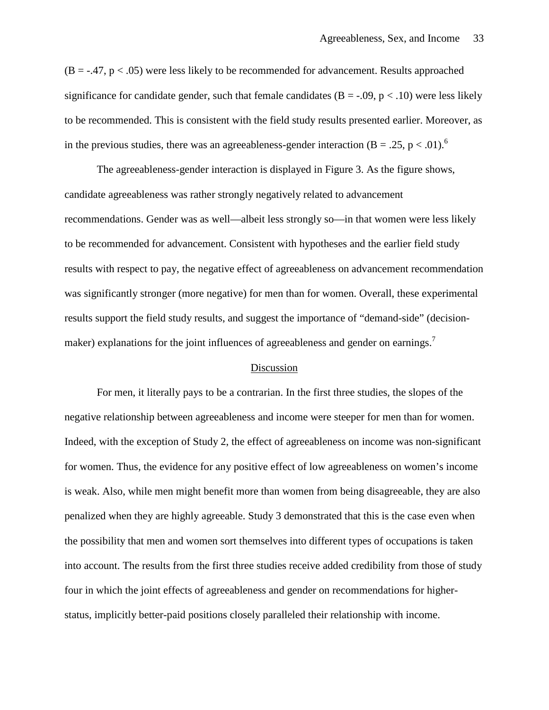$(B = -0.47, p < 0.05)$  were less likely to be recommended for advancement. Results approached significance for candidate gender, such that female candidates  $(B = -0.09, p < 0.10)$  were less likely to be recommended. This is consistent with the field study results presented earlier. Moreover, as in the previous studies, there was an agreeableness-gender interaction (B = .25, p < .01).<sup>6</sup>

The agreeableness-gender interaction is displayed in Figure 3. As the figure shows, candidate agreeableness was rather strongly negatively related to advancement recommendations. Gender was as well—albeit less strongly so—in that women were less likely to be recommended for advancement. Consistent with hypotheses and the earlier field study results with respect to pay, the negative effect of agreeableness on advancement recommendation was significantly stronger (more negative) for men than for women. Overall, these experimental results support the field study results, and suggest the importance of "demand-side" (decisionmaker) explanations for the joint influences of agreeableness and gender on earnings.<sup>7</sup>

## Discussion

For men, it literally pays to be a contrarian. In the first three studies, the slopes of the negative relationship between agreeableness and income were steeper for men than for women. Indeed, with the exception of Study 2, the effect of agreeableness on income was non-significant for women. Thus, the evidence for any positive effect of low agreeableness on women's income is weak. Also, while men might benefit more than women from being disagreeable, they are also penalized when they are highly agreeable. Study 3 demonstrated that this is the case even when the possibility that men and women sort themselves into different types of occupations is taken into account. The results from the first three studies receive added credibility from those of study four in which the joint effects of agreeableness and gender on recommendations for higherstatus, implicitly better-paid positions closely paralleled their relationship with income.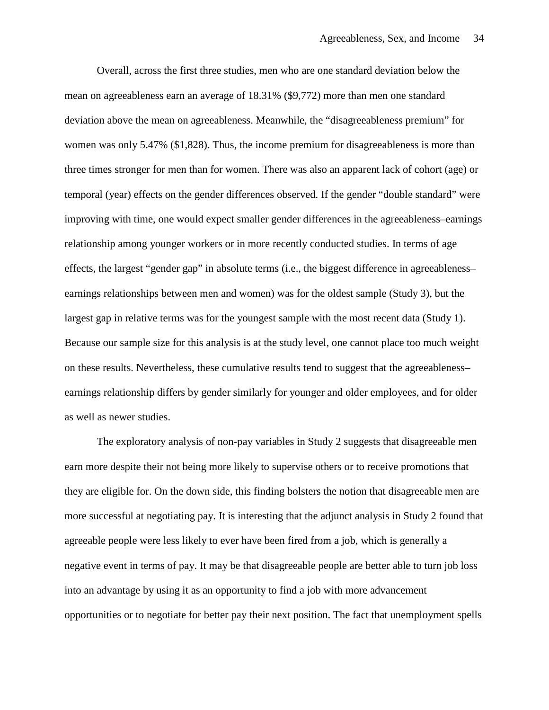Overall, across the first three studies, men who are one standard deviation below the mean on agreeableness earn an average of 18.31% (\$9,772) more than men one standard deviation above the mean on agreeableness. Meanwhile, the "disagreeableness premium" for women was only 5.47% (\$1,828). Thus, the income premium for disagreeableness is more than three times stronger for men than for women. There was also an apparent lack of cohort (age) or temporal (year) effects on the gender differences observed. If the gender "double standard" were improving with time, one would expect smaller gender differences in the agreeableness–earnings relationship among younger workers or in more recently conducted studies. In terms of age effects, the largest "gender gap" in absolute terms (i.e., the biggest difference in agreeableness– earnings relationships between men and women) was for the oldest sample (Study 3), but the largest gap in relative terms was for the youngest sample with the most recent data (Study 1). Because our sample size for this analysis is at the study level, one cannot place too much weight on these results. Nevertheless, these cumulative results tend to suggest that the agreeableness– earnings relationship differs by gender similarly for younger and older employees, and for older as well as newer studies.

The exploratory analysis of non-pay variables in Study 2 suggests that disagreeable men earn more despite their not being more likely to supervise others or to receive promotions that they are eligible for. On the down side, this finding bolsters the notion that disagreeable men are more successful at negotiating pay. It is interesting that the adjunct analysis in Study 2 found that agreeable people were less likely to ever have been fired from a job, which is generally a negative event in terms of pay. It may be that disagreeable people are better able to turn job loss into an advantage by using it as an opportunity to find a job with more advancement opportunities or to negotiate for better pay their next position. The fact that unemployment spells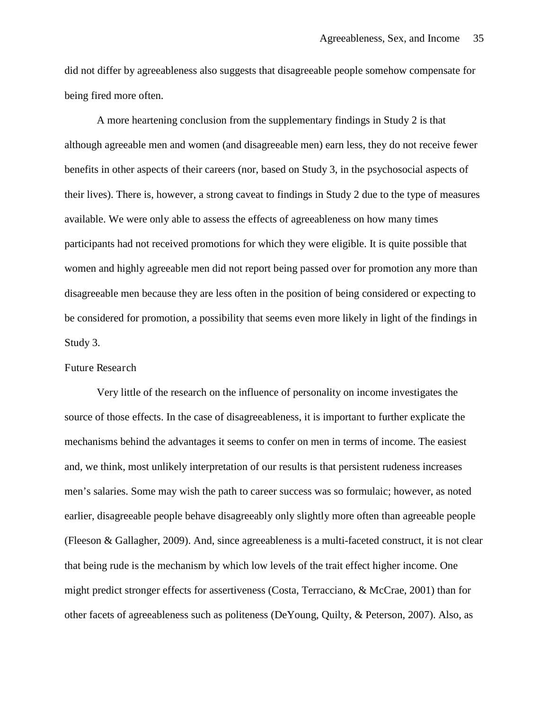did not differ by agreeableness also suggests that disagreeable people somehow compensate for being fired more often.

A more heartening conclusion from the supplementary findings in Study 2 is that although agreeable men and women (and disagreeable men) earn less, they do not receive fewer benefits in other aspects of their careers (nor, based on Study 3, in the psychosocial aspects of their lives). There is, however, a strong caveat to findings in Study 2 due to the type of measures available. We were only able to assess the effects of agreeableness on how many times participants had not received promotions for which they were eligible. It is quite possible that women and highly agreeable men did not report being passed over for promotion any more than disagreeable men because they are less often in the position of being considered or expecting to be considered for promotion, a possibility that seems even more likely in light of the findings in Study 3.

## Future Research

Very little of the research on the influence of personality on income investigates the source of those effects. In the case of disagreeableness, it is important to further explicate the mechanisms behind the advantages it seems to confer on men in terms of income. The easiest and, we think, most unlikely interpretation of our results is that persistent rudeness increases men's salaries. Some may wish the path to career success was so formulaic; however, as noted earlier, disagreeable people behave disagreeably only slightly more often than agreeable people (Fleeson & Gallagher, 2009). And, since agreeableness is a multi-faceted construct, it is not clear that being rude is the mechanism by which low levels of the trait effect higher income. One might predict stronger effects for assertiveness (Costa, Terracciano, & McCrae, 2001) than for other facets of agreeableness such as politeness (DeYoung, Quilty, & Peterson, 2007). Also, as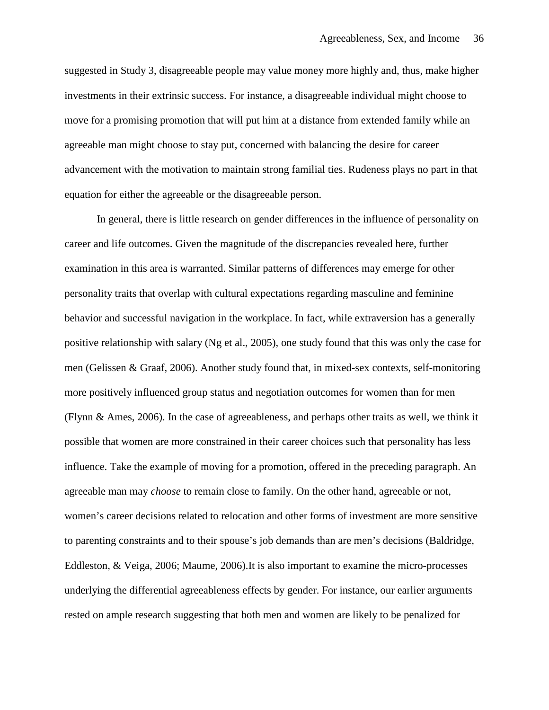suggested in Study 3, disagreeable people may value money more highly and, thus, make higher investments in their extrinsic success. For instance, a disagreeable individual might choose to move for a promising promotion that will put him at a distance from extended family while an agreeable man might choose to stay put, concerned with balancing the desire for career advancement with the motivation to maintain strong familial ties. Rudeness plays no part in that equation for either the agreeable or the disagreeable person.

In general, there is little research on gender differences in the influence of personality on career and life outcomes. Given the magnitude of the discrepancies revealed here, further examination in this area is warranted. Similar patterns of differences may emerge for other personality traits that overlap with cultural expectations regarding masculine and feminine behavior and successful navigation in the workplace. In fact, while extraversion has a generally positive relationship with salary (Ng et al., 2005), one study found that this was only the case for men (Gelissen & Graaf, 2006). Another study found that, in mixed-sex contexts, self-monitoring more positively influenced group status and negotiation outcomes for women than for men (Flynn & Ames, 2006). In the case of agreeableness, and perhaps other traits as well, we think it possible that women are more constrained in their career choices such that personality has less influence. Take the example of moving for a promotion, offered in the preceding paragraph. An agreeable man may *choose* to remain close to family. On the other hand, agreeable or not, women's career decisions related to relocation and other forms of investment are more sensitive to parenting constraints and to their spouse's job demands than are men's decisions (Baldridge, Eddleston, & Veiga, 2006; Maume, 2006).It is also important to examine the micro-processes underlying the differential agreeableness effects by gender. For instance, our earlier arguments rested on ample research suggesting that both men and women are likely to be penalized for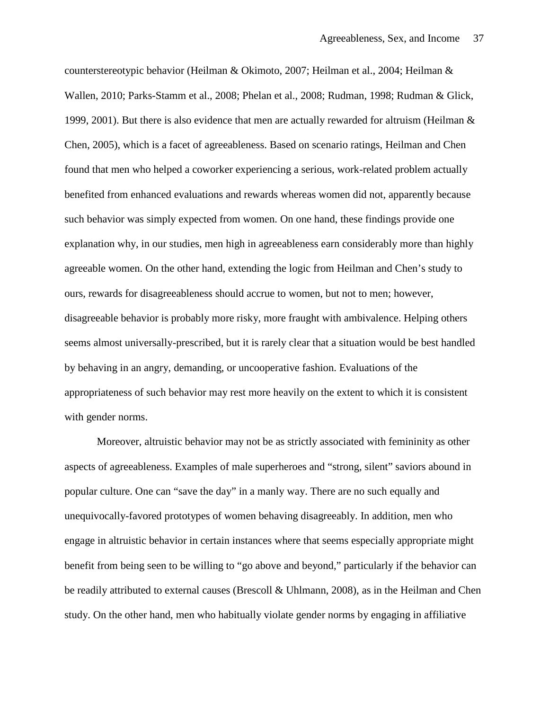counterstereotypic behavior (Heilman & Okimoto, 2007; Heilman et al., 2004; Heilman & Wallen, 2010; Parks-Stamm et al., 2008; Phelan et al., 2008; Rudman, 1998; Rudman & Glick, 1999, 2001). But there is also evidence that men are actually rewarded for altruism (Heilman  $\&$ Chen, 2005), which is a facet of agreeableness. Based on scenario ratings, Heilman and Chen found that men who helped a coworker experiencing a serious, work-related problem actually benefited from enhanced evaluations and rewards whereas women did not, apparently because such behavior was simply expected from women. On one hand, these findings provide one explanation why, in our studies, men high in agreeableness earn considerably more than highly agreeable women. On the other hand, extending the logic from Heilman and Chen's study to ours, rewards for disagreeableness should accrue to women, but not to men; however, disagreeable behavior is probably more risky, more fraught with ambivalence. Helping others seems almost universally-prescribed, but it is rarely clear that a situation would be best handled by behaving in an angry, demanding, or uncooperative fashion. Evaluations of the appropriateness of such behavior may rest more heavily on the extent to which it is consistent with gender norms.

Moreover, altruistic behavior may not be as strictly associated with femininity as other aspects of agreeableness. Examples of male superheroes and "strong, silent" saviors abound in popular culture. One can "save the day" in a manly way. There are no such equally and unequivocally-favored prototypes of women behaving disagreeably. In addition, men who engage in altruistic behavior in certain instances where that seems especially appropriate might benefit from being seen to be willing to "go above and beyond," particularly if the behavior can be readily attributed to external causes (Brescoll & Uhlmann, 2008), as in the Heilman and Chen study. On the other hand, men who habitually violate gender norms by engaging in affiliative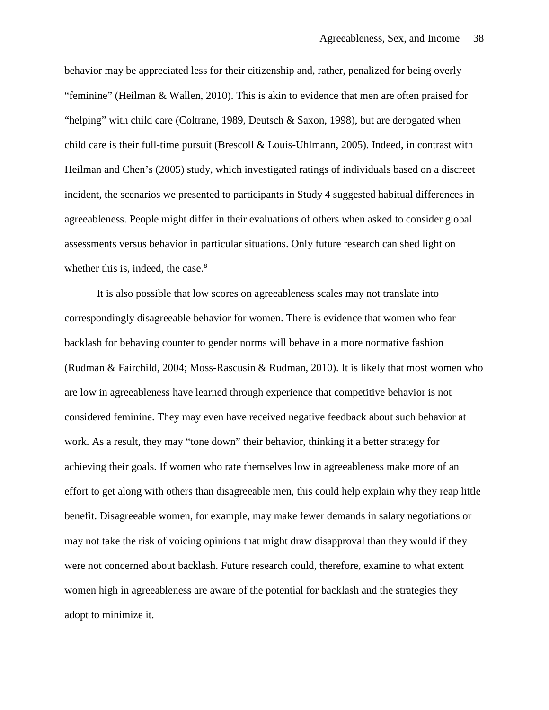behavior may be appreciated less for their citizenship and, rather, penalized for being overly "feminine" (Heilman & Wallen, 2010). This is akin to evidence that men are often praised for "helping" with child care (Coltrane, 1989, Deutsch & Saxon, 1998), but are derogated when child care is their full-time pursuit (Brescoll & Louis-Uhlmann, 2005). Indeed, in contrast with Heilman and Chen's (2005) study, which investigated ratings of individuals based on a discreet incident, the scenarios we presented to participants in Study 4 suggested habitual differences in agreeableness. People might differ in their evaluations of others when asked to consider global assessments versus behavior in particular situations. Only future research can shed light on whether this is, indeed, the case. $8<sup>8</sup>$ 

It is also possible that low scores on agreeableness scales may not translate into correspondingly disagreeable behavior for women. There is evidence that women who fear backlash for behaving counter to gender norms will behave in a more normative fashion (Rudman & Fairchild, 2004; Moss-Rascusin & Rudman, 2010). It is likely that most women who are low in agreeableness have learned through experience that competitive behavior is not considered feminine. They may even have received negative feedback about such behavior at work. As a result, they may "tone down" their behavior, thinking it a better strategy for achieving their goals. If women who rate themselves low in agreeableness make more of an effort to get along with others than disagreeable men, this could help explain why they reap little benefit. Disagreeable women, for example, may make fewer demands in salary negotiations or may not take the risk of voicing opinions that might draw disapproval than they would if they were not concerned about backlash. Future research could, therefore, examine to what extent women high in agreeableness are aware of the potential for backlash and the strategies they adopt to minimize it.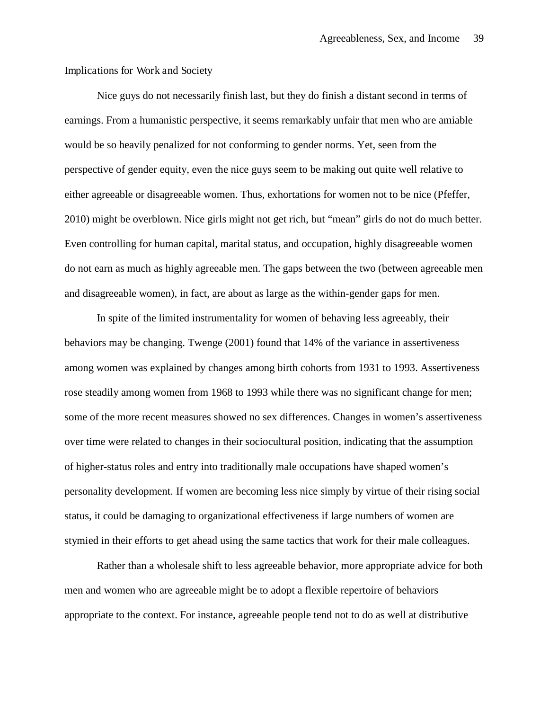Implications for Work and Society

Nice guys do not necessarily finish last, but they do finish a distant second in terms of earnings. From a humanistic perspective, it seems remarkably unfair that men who are amiable would be so heavily penalized for not conforming to gender norms. Yet, seen from the perspective of gender equity, even the nice guys seem to be making out quite well relative to either agreeable or disagreeable women. Thus, exhortations for women not to be nice (Pfeffer, 2010) might be overblown. Nice girls might not get rich, but "mean" girls do not do much better. Even controlling for human capital, marital status, and occupation, highly disagreeable women do not earn as much as highly agreeable men. The gaps between the two (between agreeable men and disagreeable women), in fact, are about as large as the within-gender gaps for men.

In spite of the limited instrumentality for women of behaving less agreeably, their behaviors may be changing. Twenge (2001) found that 14% of the variance in assertiveness among women was explained by changes among birth cohorts from 1931 to 1993. Assertiveness rose steadily among women from 1968 to 1993 while there was no significant change for men; some of the more recent measures showed no sex differences. Changes in women's assertiveness over time were related to changes in their sociocultural position, indicating that the assumption of higher-status roles and entry into traditionally male occupations have shaped women's personality development. If women are becoming less nice simply by virtue of their rising social status, it could be damaging to organizational effectiveness if large numbers of women are stymied in their efforts to get ahead using the same tactics that work for their male colleagues.

Rather than a wholesale shift to less agreeable behavior, more appropriate advice for both men and women who are agreeable might be to adopt a flexible repertoire of behaviors appropriate to the context. For instance, agreeable people tend not to do as well at distributive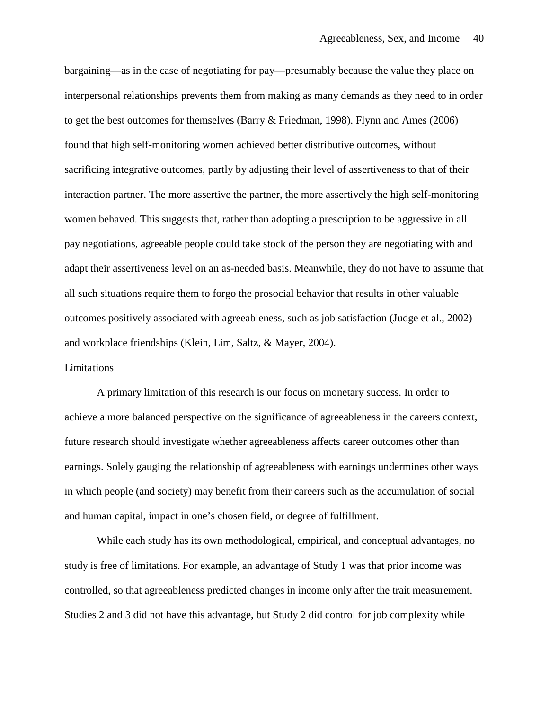bargaining—as in the case of negotiating for pay—presumably because the value they place on interpersonal relationships prevents them from making as many demands as they need to in order to get the best outcomes for themselves (Barry & Friedman, 1998). Flynn and Ames (2006) found that high self-monitoring women achieved better distributive outcomes, without sacrificing integrative outcomes, partly by adjusting their level of assertiveness to that of their interaction partner. The more assertive the partner, the more assertively the high self-monitoring women behaved. This suggests that, rather than adopting a prescription to be aggressive in all pay negotiations, agreeable people could take stock of the person they are negotiating with and adapt their assertiveness level on an as-needed basis. Meanwhile, they do not have to assume that all such situations require them to forgo the prosocial behavior that results in other valuable outcomes positively associated with agreeableness, such as job satisfaction (Judge et al., 2002) and workplace friendships (Klein, Lim, Saltz, & Mayer, 2004).

# Limitations

A primary limitation of this research is our focus on monetary success. In order to achieve a more balanced perspective on the significance of agreeableness in the careers context, future research should investigate whether agreeableness affects career outcomes other than earnings. Solely gauging the relationship of agreeableness with earnings undermines other ways in which people (and society) may benefit from their careers such as the accumulation of social and human capital, impact in one's chosen field, or degree of fulfillment.

While each study has its own methodological, empirical, and conceptual advantages, no study is free of limitations. For example, an advantage of Study 1 was that prior income was controlled, so that agreeableness predicted changes in income only after the trait measurement. Studies 2 and 3 did not have this advantage, but Study 2 did control for job complexity while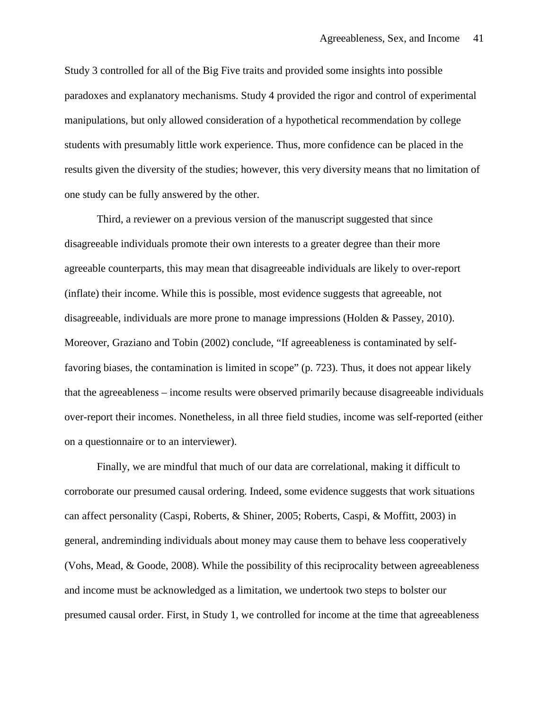Study 3 controlled for all of the Big Five traits and provided some insights into possible paradoxes and explanatory mechanisms. Study 4 provided the rigor and control of experimental manipulations, but only allowed consideration of a hypothetical recommendation by college students with presumably little work experience. Thus, more confidence can be placed in the results given the diversity of the studies; however, this very diversity means that no limitation of one study can be fully answered by the other.

Third, a reviewer on a previous version of the manuscript suggested that since disagreeable individuals promote their own interests to a greater degree than their more agreeable counterparts, this may mean that disagreeable individuals are likely to over-report (inflate) their income. While this is possible, most evidence suggests that agreeable, not disagreeable, individuals are more prone to manage impressions (Holden & Passey, 2010). Moreover, Graziano and Tobin (2002) conclude, "If agreeableness is contaminated by selffavoring biases, the contamination is limited in scope" (p. 723). Thus, it does not appear likely that the agreeableness – income results were observed primarily because disagreeable individuals over-report their incomes. Nonetheless, in all three field studies, income was self-reported (either on a questionnaire or to an interviewer).

Finally, we are mindful that much of our data are correlational, making it difficult to corroborate our presumed causal ordering. Indeed, some evidence suggests that work situations can affect personality (Caspi, Roberts, & Shiner, 2005; Roberts, Caspi, & Moffitt, 2003) in general, andreminding individuals about money may cause them to behave less cooperatively (Vohs, Mead, & Goode, 2008). While the possibility of this reciprocality between agreeableness and income must be acknowledged as a limitation, we undertook two steps to bolster our presumed causal order. First, in Study 1, we controlled for income at the time that agreeableness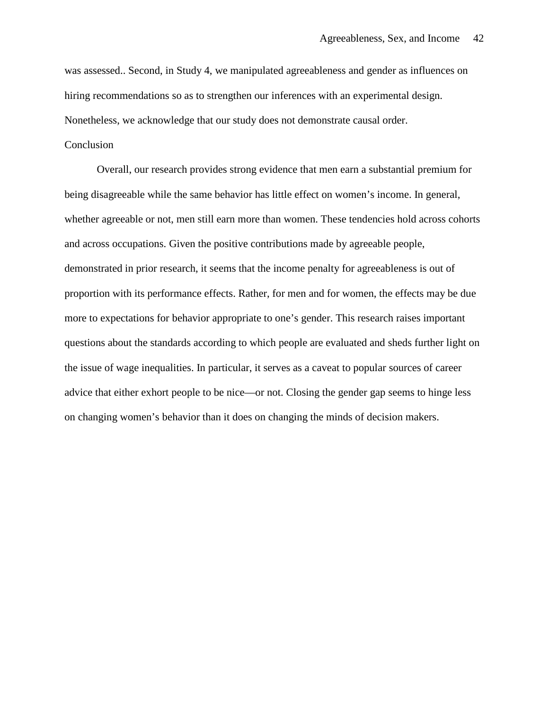was assessed.. Second, in Study 4, we manipulated agreeableness and gender as influences on hiring recommendations so as to strengthen our inferences with an experimental design. Nonetheless, we acknowledge that our study does not demonstrate causal order.

# Conclusion

Overall, our research provides strong evidence that men earn a substantial premium for being disagreeable while the same behavior has little effect on women's income. In general, whether agreeable or not, men still earn more than women. These tendencies hold across cohorts and across occupations. Given the positive contributions made by agreeable people, demonstrated in prior research, it seems that the income penalty for agreeableness is out of proportion with its performance effects. Rather, for men and for women, the effects may be due more to expectations for behavior appropriate to one's gender. This research raises important questions about the standards according to which people are evaluated and sheds further light on the issue of wage inequalities. In particular, it serves as a caveat to popular sources of career advice that either exhort people to be nice—or not. Closing the gender gap seems to hinge less on changing women's behavior than it does on changing the minds of decision makers.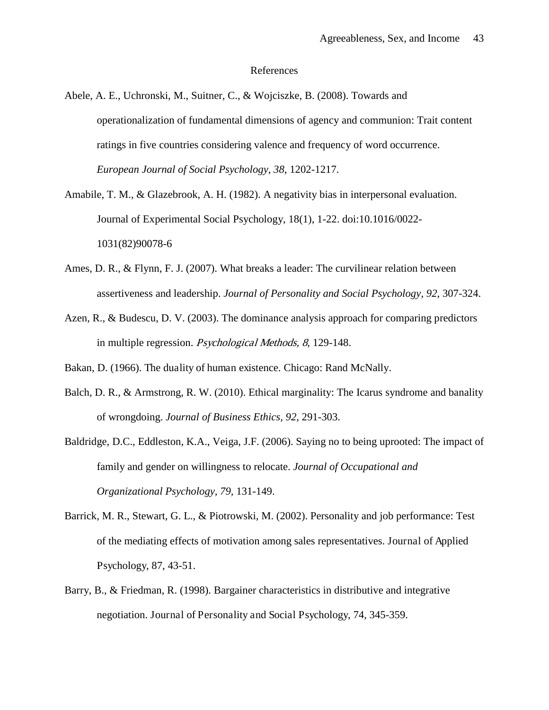#### References

- Abele, A. E., Uchronski, M., Suitner, C., & Wojciszke, B. (2008). Towards and operationalization of fundamental dimensions of agency and communion: Trait content ratings in five countries considering valence and frequency of word occurrence. *European Journal of Social Psychology, 38*, 1202-1217.
- Amabile, T. M., & Glazebrook, A. H. (1982). A negativity bias in interpersonal evaluation. Journal of Experimental Social Psychology, 18(1), 1-22. doi:10.1016/0022- 1031(82)90078-6
- Ames, D. R., & Flynn, F. J. (2007). What breaks a leader: The curvilinear relation between assertiveness and leadership. *Journal of Personality and Social Psychology, 92*, 307-324.
- Azen, R., & Budescu, D. V. (2003). The dominance analysis approach for comparing predictors in multiple regression. Psychological Methods, 8, 129-148.
- Bakan, D. (1966). The duality of human existence. Chicago: Rand McNally.
- Balch, D. R., & Armstrong, R. W. (2010). Ethical marginality: The Icarus syndrome and banality of wrongdoing. *Journal of Business Ethics, 92*, 291-303.
- Baldridge, D.C., Eddleston, K.A., Veiga, J.F. (2006). Saying no to being uprooted: The impact of family and gender on willingness to relocate. *Journal of Occupational and Organizational Psychology, 79,* 131-149.
- Barrick, M. R., Stewart, G. L., & Piotrowski, M. (2002). Personality and job performance: Test of the mediating effects of motivation among sales representatives. Journal of Applied Psychology, 87, 43-51.
- Barry, B., & Friedman, R. (1998). Bargainer characteristics in distributive and integrative negotiation. Journal of Personality and Social Psychology, 74, 345-359.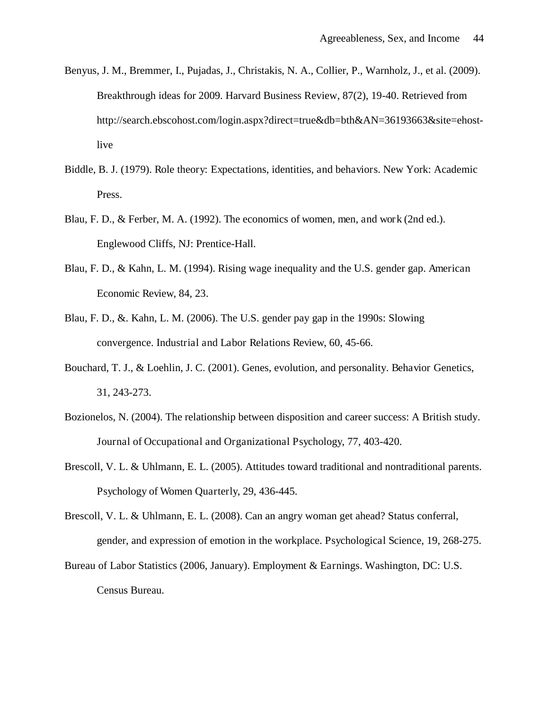- Benyus, J. M., Bremmer, I., Pujadas, J., Christakis, N. A., Collier, P., Warnholz, J., et al. (2009). Breakthrough ideas for 2009. Harvard Business Review, 87(2), 19-40. Retrieved from http://search.ebscohost.com/login.aspx?direct=true&db=bth&AN=36193663&site=ehostlive
- Biddle, B. J. (1979). Role theory: Expectations, identities, and behaviors. New York: Academic Press.
- Blau, F. D., & Ferber, M. A. (1992). The economics of women, men, and work (2nd ed.). Englewood Cliffs, NJ: Prentice-Hall.
- Blau, F. D., & Kahn, L. M. (1994). Rising wage inequality and the U.S. gender gap. American Economic Review, 84, 23.
- Blau, F. D., &. Kahn, L. M. (2006). The U.S. gender pay gap in the 1990s: Slowing convergence. Industrial and Labor Relations Review, 60, 45-66.
- Bouchard, T. J., & Loehlin, J. C. (2001). Genes, evolution, and personality. Behavior Genetics, 31, 243-273.
- Bozionelos, N. (2004). The relationship between disposition and career success: A British study. Journal of Occupational and Organizational Psychology, 77, 403-420.
- Brescoll, V. L. & Uhlmann, E. L. (2005). Attitudes toward traditional and nontraditional parents. Psychology of Women Quarterly, 29, 436-445.
- Brescoll, V. L. & Uhlmann, E. L. (2008). Can an angry woman get ahead? Status conferral, gender, and expression of emotion in the workplace. Psychological Science, 19, 268-275.
- Bureau of Labor Statistics (2006, January). Employment & Earnings. Washington, DC: U.S. Census Bureau.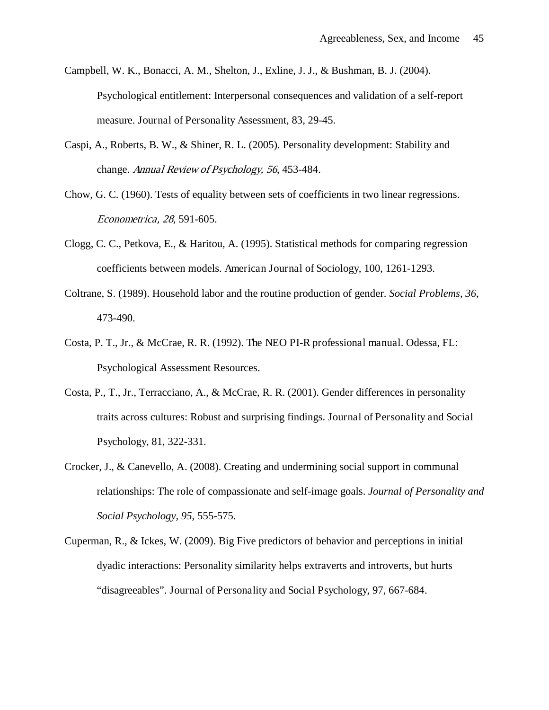- Campbell, W. K., Bonacci, A. M., Shelton, J., Exline, J. J., & Bushman, B. J. (2004). Psychological entitlement: Interpersonal consequences and validation of a self-report measure. Journal of Personality Assessment, 83, 29-45.
- Caspi, A., Roberts, B. W., & Shiner, R. L. (2005). Personality development: Stability and change. Annual Review of Psychology, 56, 453-484.
- Chow, G. C. (1960). Tests of equality between sets of coefficients in two linear regressions. Econometrica, 28, 591-605.
- Clogg, C. C., Petkova, E., & Haritou, A. (1995). Statistical methods for comparing regression coefficients between models. American Journal of Sociology, 100, 1261-1293.
- Coltrane, S. (1989). Household labor and the routine production of gender. *Social Problems, 36*, 473-490.
- Costa, P. T., Jr., & McCrae, R. R. (1992). The NEO PI-R professional manual. Odessa, FL: Psychological Assessment Resources.
- Costa, P., T., Jr., Terracciano, A., & McCrae, R. R. (2001). Gender differences in personality traits across cultures: Robust and surprising findings. Journal of Personality and Social Psychology, 81, 322-331.
- Crocker, J., & Canevello, A. (2008). Creating and undermining social support in communal relationships: The role of compassionate and self-image goals. *Journal of Personality and Social Psychology, 95*, 555-575.
- Cuperman, R., & Ickes, W. (2009). Big Five predictors of behavior and perceptions in initial dyadic interactions: Personality similarity helps extraverts and introverts, but hurts "disagreeables". Journal of Personality and Social Psychology, 97, 667-684.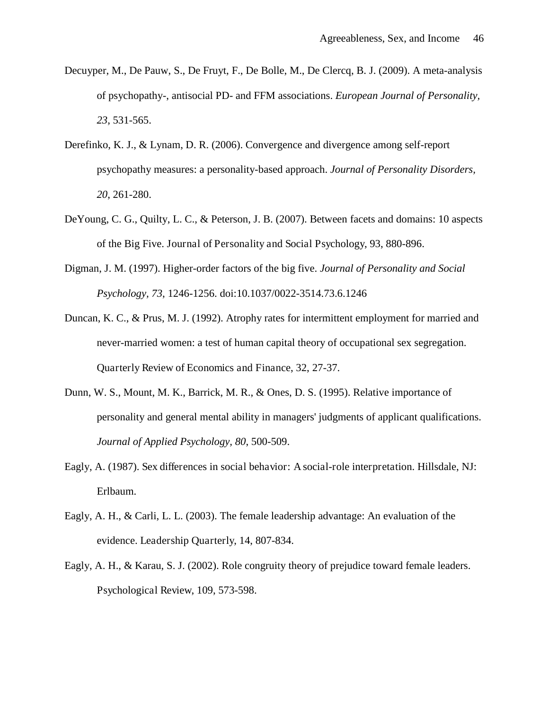- Decuyper, M., De Pauw, S., De Fruyt, F., De Bolle, M., De Clercq, B. J. (2009). A meta-analysis of psychopathy-, antisocial PD- and FFM associations. *European Journal of Personality, 23*, 531-565.
- Derefinko, K. J., & Lynam, D. R. (2006). Convergence and divergence among self-report psychopathy measures: a personality-based approach. *Journal of Personality Disorders, 20*, 261-280.
- DeYoung, C. G., Quilty, L. C., & Peterson, J. B. (2007). Between facets and domains: 10 aspects of the Big Five. Journal of Personality and Social Psychology, 93, 880-896.
- Digman, J. M. (1997). Higher-order factors of the big five. *Journal of Personality and Social Psychology, 73*, 1246-1256. doi:10.1037/0022-3514.73.6.1246
- Duncan, K. C., & Prus, M. J. (1992). Atrophy rates for intermittent employment for married and never-married women: a test of human capital theory of occupational sex segregation. Quarterly Review of Economics and Finance, 32, 27-37.
- Dunn, W. S., Mount, M. K., Barrick, M. R., & Ones, D. S. (1995). Relative importance of personality and general mental ability in managers' judgments of applicant qualifications. *Journal of Applied Psychology, 80*, 500-509.
- Eagly, A. (1987). Sex differences in social behavior: A social-role interpretation. Hillsdale, NJ: Erlbaum.
- Eagly, A. H., & Carli, L. L. (2003). The female leadership advantage: An evaluation of the evidence. Leadership Quarterly, 14, 807-834.
- Eagly, A. H., & Karau, S. J. (2002). Role congruity theory of prejudice toward female leaders. Psychological Review, 109, 573-598.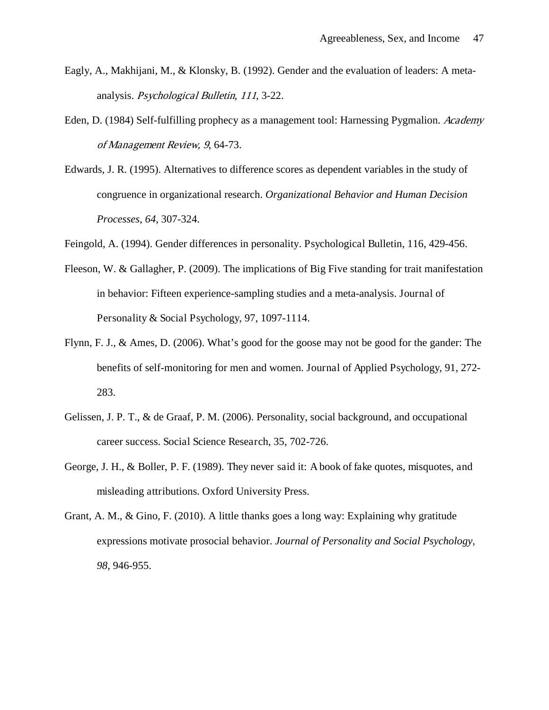- Eagly, A., Makhijani, M., & Klonsky, B. (1992). Gender and the evaluation of leaders: A metaanalysis. Psychological Bulletin, 111, 3-22.
- Eden, D. (1984) Self-fulfilling prophecy as a management tool: Harnessing Pygmalion. Academy of Management Review, 9, 64-73.
- Edwards, J. R. (1995). Alternatives to difference scores as dependent variables in the study of congruence in organizational research. *Organizational Behavior and Human Decision Processes, 64*, 307-324.
- Feingold, A. (1994). Gender differences in personality. Psychological Bulletin, 116, 429-456.
- Fleeson, W. & Gallagher, P. (2009). The implications of Big Five standing for trait manifestation in behavior: Fifteen experience-sampling studies and a meta-analysis. Journal of Personality & Social Psychology, 97, 1097-1114.
- Flynn, F. J., & Ames, D. (2006). What's good for the goose may not be good for the gander: The benefits of self-monitoring for men and women. Journal of Applied Psychology, 91, 272- 283.
- Gelissen, J. P. T., & de Graaf, P. M. (2006). Personality, social background, and occupational career success. Social Science Research, 35, 702-726.
- George, J. H., & Boller, P. F. (1989). They never said it: A book of fake quotes, misquotes, and misleading attributions. Oxford University Press.
- Grant, A. M., & Gino, F. (2010). A little thanks goes a long way: Explaining why gratitude expressions motivate prosocial behavior. *Journal of Personality and Social Psychology, 98*, 946-955.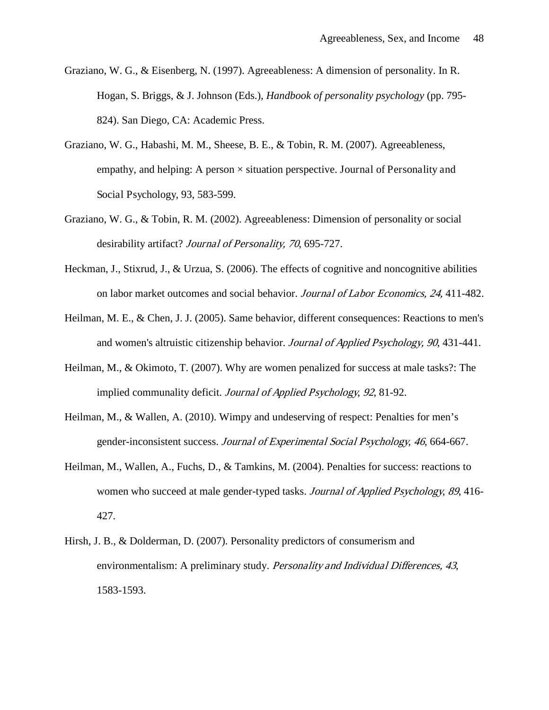- Graziano, W. G., & Eisenberg, N. (1997). Agreeableness: A dimension of personality. In R. Hogan, S. Briggs, & J. Johnson (Eds.), *Handbook of personality psychology* (pp. 795- 824). San Diego, CA: Academic Press.
- Graziano, W. G., Habashi, M. M., Sheese, B. E., & Tobin, R. M. (2007). Agreeableness, empathy, and helping: A person  $\times$  situation perspective. Journal of Personality and Social Psychology, 93, 583-599.
- Graziano, W. G., & Tobin, R. M. (2002). Agreeableness: Dimension of personality or social desirability artifact? *Journal of Personality*, 70, 695-727.
- Heckman, J., Stixrud, J., & Urzua, S. (2006). The effects of cognitive and noncognitive abilities on labor market outcomes and social behavior. Journal of Labor Economics, 24, 411-482.
- Heilman, M. E., & Chen, J. J. (2005). Same behavior, different consequences: Reactions to men's and women's altruistic citizenship behavior. Journal of Applied Psychology, 90, 431-441.
- Heilman, M., & Okimoto, T. (2007). Why are women penalized for success at male tasks?: The implied communality deficit. Journal of Applied Psychology, 92, 81-92.
- Heilman, M., & Wallen, A. (2010). Wimpy and undeserving of respect: Penalties for men's gender-inconsistent success. Journal of Experimental Social Psychology, 46, 664-667.
- Heilman, M., Wallen, A., Fuchs, D., & Tamkins, M. (2004). Penalties for success: reactions to women who succeed at male gender-typed tasks. *Journal of Applied Psychology, 89,* 416-427.
- Hirsh, J. B., & Dolderman, D. (2007). Personality predictors of consumerism and environmentalism: A preliminary study. Personality and Individual Differences, 43, 1583-1593.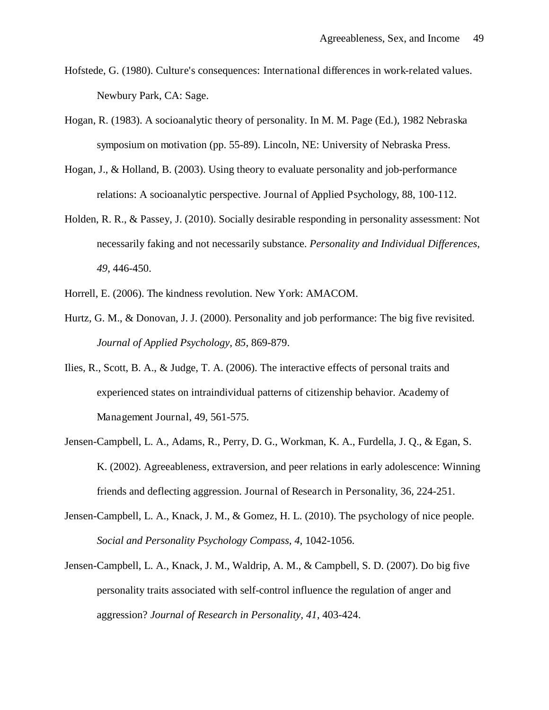- Hofstede, G. (1980). Culture's consequences: International differences in work-related values. Newbury Park, CA: Sage.
- Hogan, R. (1983). A socioanalytic theory of personality. In M. M. Page (Ed.), 1982 Nebraska symposium on motivation (pp. 55-89). Lincoln, NE: University of Nebraska Press.
- Hogan, J., & Holland, B. (2003). Using theory to evaluate personality and job-performance relations: A socioanalytic perspective. Journal of Applied Psychology, 88, 100-112.
- Holden, R. R., & Passey, J. (2010). Socially desirable responding in personality assessment: Not necessarily faking and not necessarily substance. *Personality and Individual Differences, 49*, 446-450.
- Horrell, E. (2006). The kindness revolution. New York: AMACOM.
- Hurtz, G. M., & Donovan, J. J. (2000). Personality and job performance: The big five revisited. *Journal of Applied Psychology, 85*, 869-879.
- Ilies, R., Scott, B. A., & Judge, T. A. (2006). The interactive effects of personal traits and experienced states on intraindividual patterns of citizenship behavior. Academy of Management Journal, 49, 561-575.
- Jensen-Campbell, L. A., Adams, R., Perry, D. G., Workman, K. A., Furdella, J. Q., & Egan, S. K. (2002). Agreeableness, extraversion, and peer relations in early adolescence: Winning friends and deflecting aggression. Journal of Research in Personality, 36, 224-251.
- Jensen-Campbell, L. A., Knack, J. M., & Gomez, H. L. (2010). The psychology of nice people. *Social and Personality Psychology Compass, 4*, 1042-1056.
- Jensen-Campbell, L. A., Knack, J. M., Waldrip, A. M., & Campbell, S. D. (2007). Do big five personality traits associated with self-control influence the regulation of anger and aggression? *Journal of Research in Personality, 41*, 403-424.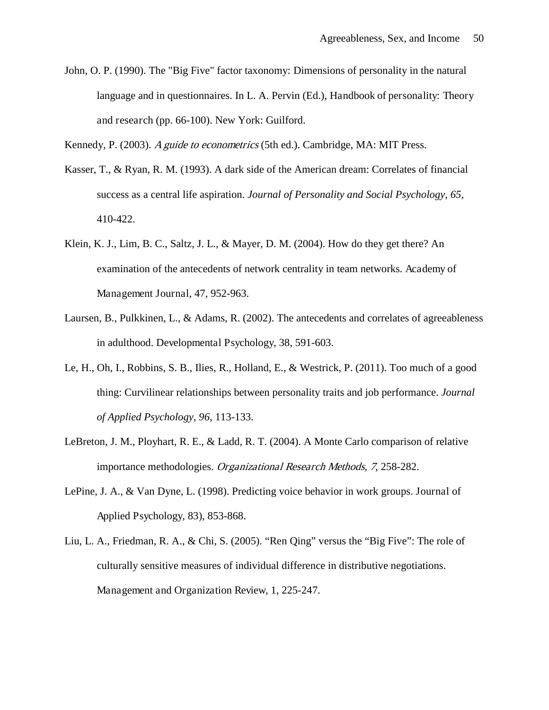John, O. P. (1990). The "Big Five" factor taxonomy: Dimensions of personality in the natural language and in questionnaires. In L. A. Pervin (Ed.), Handbook of personality: Theory and research (pp. 66-100). New York: Guilford.

Kennedy, P. (2003). A guide to econometrics (5th ed.). Cambridge, MA: MIT Press.

- Kasser, T., & Ryan, R. M. (1993). A dark side of the American dream: Correlates of financial success as a central life aspiration. *Journal of Personality and Social Psychology, 65*, 410-422.
- Klein, K. J., Lim, B. C., Saltz, J. L., & Mayer, D. M. (2004). How do they get there? An examination of the antecedents of network centrality in team networks. Academy of Management Journal, 47, 952-963.
- Laursen, B., Pulkkinen, L., & Adams, R. (2002). The antecedents and correlates of agreeableness in adulthood. Developmental Psychology, 38, 591-603.
- Le, H., Oh, I., Robbins, S. B., Ilies, R., Holland, E., & Westrick, P. (2011). Too much of a good thing: Curvilinear relationships between personality traits and job performance. *Journal of Applied Psychology, 96*, 113-133.
- LeBreton, J. M., Ployhart, R. E., & Ladd, R. T. (2004). A Monte Carlo comparison of relative importance methodologies. Organizational Research Methods, 7, 258-282.
- LePine, J. A., & Van Dyne, L. (1998). Predicting voice behavior in work groups. Journal of Applied Psychology, 83), 853-868.
- Liu, L. A., Friedman, R. A., & Chi, S. (2005). "Ren Qing" versus the "Big Five": The role of culturally sensitive measures of individual difference in distributive negotiations. Management and Organization Review, 1, 225-247.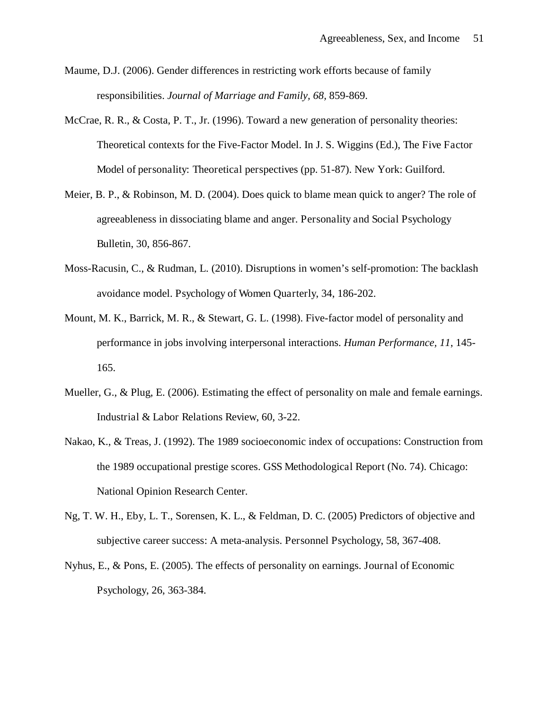- Maume, D.J. (2006). Gender differences in restricting work efforts because of family responsibilities. *Journal of Marriage and Family, 68,* 859-869.
- McCrae, R. R., & Costa, P. T., Jr. (1996). Toward a new generation of personality theories: Theoretical contexts for the Five-Factor Model. In J. S. Wiggins (Ed.), The Five Factor Model of personality: Theoretical perspectives (pp. 51-87). New York: Guilford.
- Meier, B. P., & Robinson, M. D. (2004). Does quick to blame mean quick to anger? The role of agreeableness in dissociating blame and anger. Personality and Social Psychology Bulletin, 30, 856-867.
- Moss-Racusin, C., & Rudman, L. (2010). Disruptions in women's self-promotion: The backlash avoidance model. Psychology of Women Quarterly, 34, 186-202.
- Mount, M. K., Barrick, M. R., & Stewart, G. L. (1998). Five-factor model of personality and performance in jobs involving interpersonal interactions. *Human Performance, 11*, 145- 165.
- Mueller, G., & Plug, E. (2006). Estimating the effect of personality on male and female earnings. Industrial & Labor Relations Review, 60, 3-22.
- Nakao, K., & Treas, J. (1992). The 1989 socioeconomic index of occupations: Construction from the 1989 occupational prestige scores. GSS Methodological Report (No. 74). Chicago: National Opinion Research Center.
- Ng, T. W. H., Eby, L. T., Sorensen, K. L., & Feldman, D. C. (2005) Predictors of objective and subjective career success: A meta-analysis. Personnel Psychology, 58, 367-408.
- Nyhus, E., & Pons, E. (2005). The effects of personality on earnings. Journal of Economic Psychology, 26, 363-384.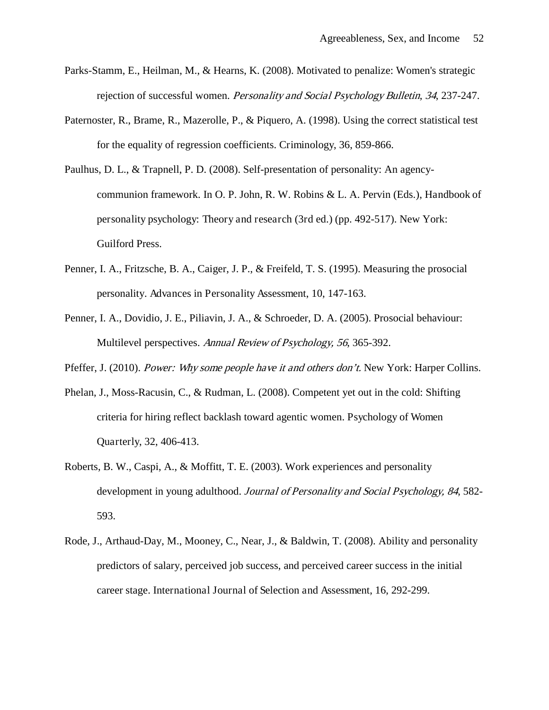- Parks-Stamm, E., Heilman, M., & Hearns, K. (2008). Motivated to penalize: Women's strategic rejection of successful women. *Personality and Social Psychology Bulletin*, 34, 237-247.
- Paternoster, R., Brame, R., Mazerolle, P., & Piquero, A. (1998). Using the correct statistical test for the equality of regression coefficients. Criminology, 36, 859-866.
- Paulhus, D. L., & Trapnell, P. D. (2008). Self-presentation of personality: An agencycommunion framework. In O. P. John, R. W. Robins & L. A. Pervin (Eds.), Handbook of personality psychology: Theory and research (3rd ed.) (pp. 492-517). New York: Guilford Press.
- Penner, I. A., Fritzsche, B. A., Caiger, J. P., & Freifeld, T. S. (1995). Measuring the prosocial personality. Advances in Personality Assessment, 10, 147-163.
- Penner, I. A., Dovidio, J. E., Piliavin, J. A., & Schroeder, D. A. (2005). Prosocial behaviour: Multilevel perspectives. Annual Review of Psychology, 56, 365-392.
- Pfeffer, J. (2010). *Power: Why some people have it and others don't*. New York: Harper Collins.
- Phelan, J., Moss-Racusin, C., & Rudman, L. (2008). Competent yet out in the cold: Shifting criteria for hiring reflect backlash toward agentic women. Psychology of Women Quarterly, 32, 406-413.
- Roberts, B. W., Caspi, A., & Moffitt, T. E. (2003). Work experiences and personality development in young adulthood. Journal of Personality and Social Psychology, 84, 582-593.
- Rode, J., Arthaud-Day, M., Mooney, C., Near, J., & Baldwin, T. (2008). Ability and personality predictors of salary, perceived job success, and perceived career success in the initial career stage. International Journal of Selection and Assessment, 16, 292-299.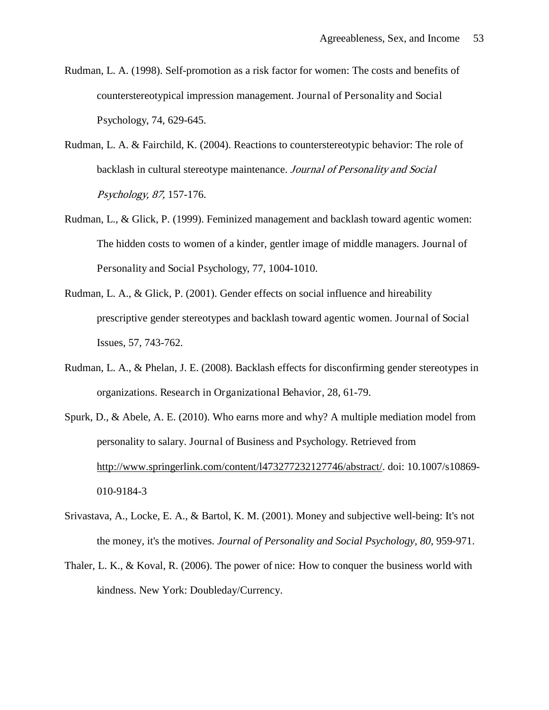- Rudman, L. A. (1998). Self-promotion as a risk factor for women: The costs and benefits of counterstereotypical impression management. Journal of Personality and Social Psychology, 74, 629-645.
- Rudman, L. A. & Fairchild, K. (2004). Reactions to counterstereotypic behavior: The role of backlash in cultural stereotype maintenance. Journal of Personality and Social Psychology, 87, 157-176.
- Rudman, L., & Glick, P. (1999). Feminized management and backlash toward agentic women: The hidden costs to women of a kinder, gentler image of middle managers. Journal of Personality and Social Psychology, 77, 1004-1010.
- Rudman, L. A., & Glick, P. (2001). Gender effects on social influence and hireability prescriptive gender stereotypes and backlash toward agentic women. Journal of Social Issues, 57, 743-762.
- Rudman, L. A., & Phelan, J. E. (2008). Backlash effects for disconfirming gender stereotypes in organizations. Research in Organizational Behavior, 28, 61-79.
- Spurk, D., & Abele, A. E. (2010). Who earns more and why? A multiple mediation model from personality to salary. Journal of Business and Psychology. Retrieved from [http://www.springerlink.com/content/l473277232127746/abstract/.](http://www.springerlink.com/content/l473277232127746/abstract/) doi: 10.1007/s10869- 010-9184-3
- Srivastava, A., Locke, E. A., & Bartol, K. M. (2001). Money and subjective well-being: It's not the money, it's the motives. *Journal of Personality and Social Psychology, 80*, 959-971.
- Thaler, L. K., & Koval, R. (2006). The power of nice: How to conquer the business world with kindness. New York: Doubleday/Currency.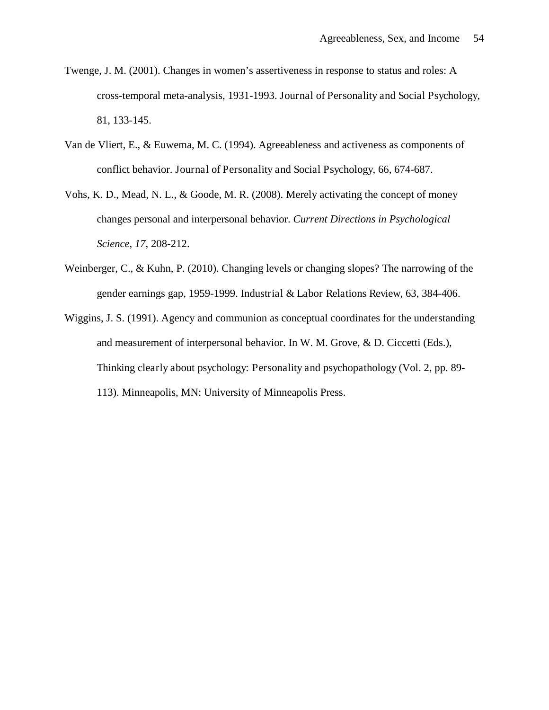- Twenge, J. M. (2001). Changes in women's assertiveness in response to status and roles: A cross-temporal meta-analysis, 1931-1993. Journal of Personality and Social Psychology, 81, 133-145.
- Van de Vliert, E., & Euwema, M. C. (1994). Agreeableness and activeness as components of conflict behavior. Journal of Personality and Social Psychology, 66, 674-687.
- Vohs, K. D., Mead, N. L., & Goode, M. R. (2008). Merely activating the concept of money changes personal and interpersonal behavior. *Current Directions in Psychological Science, 17*, 208-212.
- Weinberger, C., & Kuhn, P. (2010). Changing levels or changing slopes? The narrowing of the gender earnings gap, 1959-1999. Industrial & Labor Relations Review, 63, 384-406.
- Wiggins, J. S. (1991). Agency and communion as conceptual coordinates for the understanding and measurement of interpersonal behavior. In W. M. Grove, & D. Ciccetti (Eds.), Thinking clearly about psychology: Personality and psychopathology (Vol. 2, pp. 89- 113). Minneapolis, MN: University of Minneapolis Press.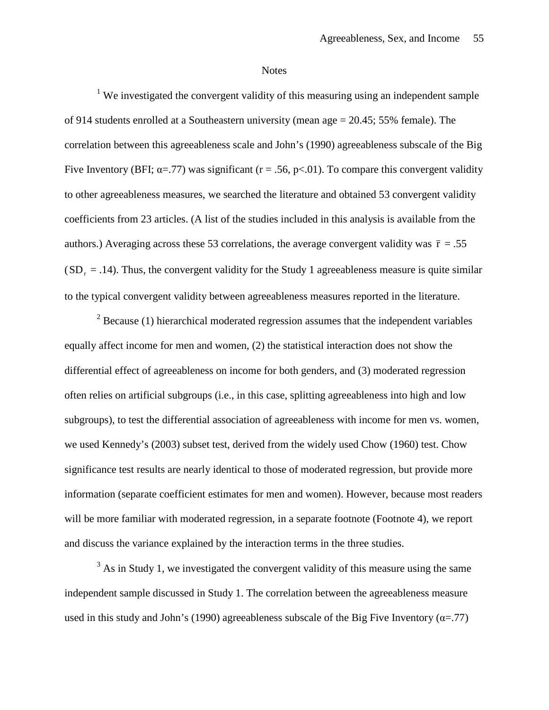#### **Notes**

<sup>1</sup> We investigated the convergent validity of this measuring using an independent sample of 914 students enrolled at a Southeastern university (mean age = 20.45; 55% female). The correlation between this agreeableness scale and John's (1990) agreeableness subscale of the Big Five Inventory (BFI;  $\alpha = .77$ ) was significant (r = .56, p<.01). To compare this convergent validity to other agreeableness measures, we searched the literature and obtained 53 convergent validity coefficients from 23 articles. (A list of the studies included in this analysis is available from the authors.) Averaging across these 53 correlations, the average convergent validity was  $\bar{r} = .55$  $(SD<sub>r</sub> = .14)$ . Thus, the convergent validity for the Study 1 agreeableness measure is quite similar to the typical convergent validity between agreeableness measures reported in the literature.

 $2^2$  Because (1) hierarchical moderated regression assumes that the independent variables equally affect income for men and women, (2) the statistical interaction does not show the differential effect of agreeableness on income for both genders, and (3) moderated regression often relies on artificial subgroups (i.e., in this case, splitting agreeableness into high and low subgroups), to test the differential association of agreeableness with income for men vs. women, we used Kennedy's (2003) subset test, derived from the widely used Chow (1960) test. Chow significance test results are nearly identical to those of moderated regression, but provide more information (separate coefficient estimates for men and women). However, because most readers will be more familiar with moderated regression, in a separate footnote (Footnote 4), we report and discuss the variance explained by the interaction terms in the three studies.

 $3$  As in Study 1, we investigated the convergent validity of this measure using the same independent sample discussed in Study 1. The correlation between the agreeableness measure used in this study and John's (1990) agreeableness subscale of the Big Five Inventory ( $\alpha$ =.77)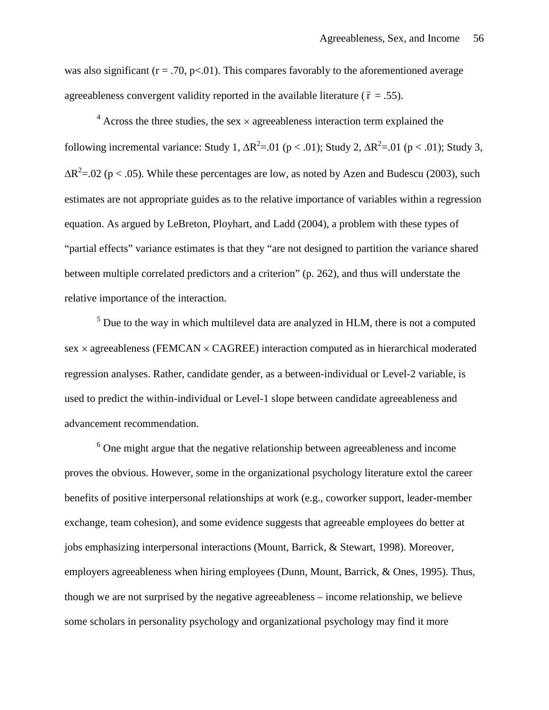was also significant ( $r = .70$ ,  $p < .01$ ). This compares favorably to the aforementioned average agreeableness convergent validity reported in the available literature ( $\bar{r} = .55$ ).

 $4$  Across the three studies, the sex  $\times$  agreeableness interaction term explained the following incremental variance: Study 1,  $\Delta R^2 = 01$  (p < .01); Study 2,  $\Delta R^2 = 01$  (p < .01); Study 3,  $\Delta R^2$ =.02 (p < .05). While these percentages are low, as noted by Azen and Budescu (2003), such estimates are not appropriate guides as to the relative importance of variables within a regression equation. As argued by LeBreton, Ployhart, and Ladd (2004), a problem with these types of "partial effects" variance estimates is that they "are not designed to partition the variance shared between multiple correlated predictors and a criterion" (p. 262), and thus will understate the relative importance of the interaction.

 $<sup>5</sup>$  Due to the way in which multilevel data are analyzed in HLM, there is not a computed</sup> sex  $\times$  agreeableness (FEMCAN  $\times$  CAGREE) interaction computed as in hierarchical moderated regression analyses. Rather, candidate gender, as a between-individual or Level-2 variable, is used to predict the within-individual or Level-1 slope between candidate agreeableness and advancement recommendation.

<sup>6</sup> One might argue that the negative relationship between agreeableness and income proves the obvious. However, some in the organizational psychology literature extol the career benefits of positive interpersonal relationships at work (e.g., coworker support, leader-member exchange, team cohesion), and some evidence suggests that agreeable employees do better at jobs emphasizing interpersonal interactions (Mount, Barrick, & Stewart, 1998). Moreover, employers agreeableness when hiring employees (Dunn, Mount, Barrick, & Ones, 1995). Thus, though we are not surprised by the negative agreeableness – income relationship, we believe some scholars in personality psychology and organizational psychology may find it more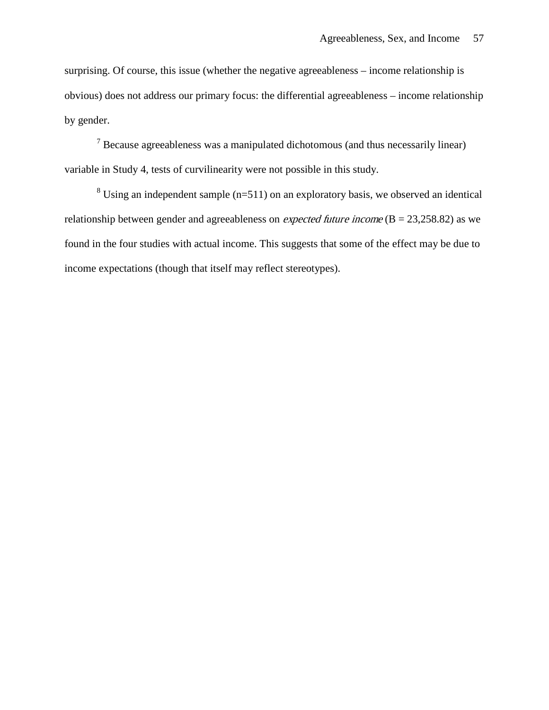surprising. Of course, this issue (whether the negative agreeableness – income relationship is obvious) does not address our primary focus: the differential agreeableness – income relationship by gender.

<sup>7</sup> Because agreeableness was a manipulated dichotomous (and thus necessarily linear) variable in Study 4, tests of curvilinearity were not possible in this study.

 $8$  Using an independent sample (n=511) on an exploratory basis, we observed an identical relationship between gender and agreeableness on *expected future income* ( $B = 23,258.82$ ) as we found in the four studies with actual income. This suggests that some of the effect may be due to income expectations (though that itself may reflect stereotypes).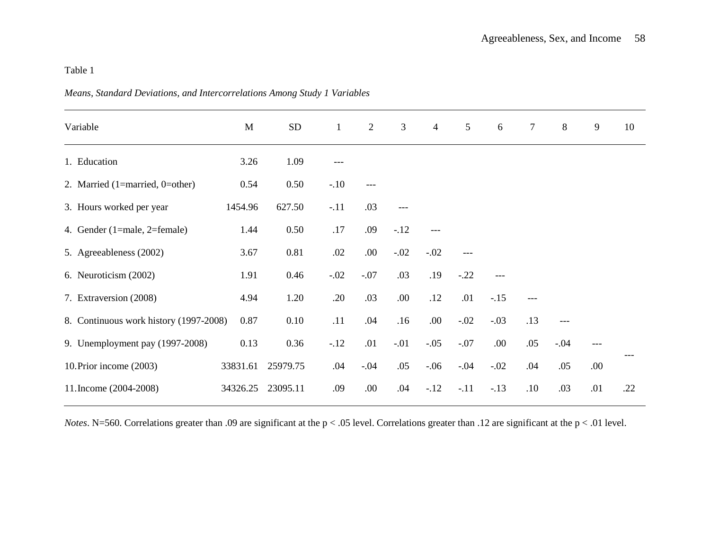| Variable                               | $\mathbf M$ | <b>SD</b> | $\mathbf{1}$ | $\overline{2}$ | $\mathfrak{Z}$ | $\overline{4}$ | 5      | $6\,$  | $\overline{7}$ | 8      | 9     | 10  |
|----------------------------------------|-------------|-----------|--------------|----------------|----------------|----------------|--------|--------|----------------|--------|-------|-----|
| 1. Education                           | 3.26        | 1.09      | $---$        |                |                |                |        |        |                |        |       |     |
| 2. Married $(1=married, 0=other)$      | 0.54        | 0.50      | $-.10$       |                |                |                |        |        |                |        |       |     |
| 3. Hours worked per year               | 1454.96     | 627.50    | $-.11$       | .03            |                |                |        |        |                |        |       |     |
| 4. Gender (1=male, 2=female)           | 1.44        | 0.50      | $.17$        | .09            | $-.12$         | $---$          |        |        |                |        |       |     |
| 5. Agreeableness (2002)                | 3.67        | 0.81      | .02          | .00.           | $-.02$         | $-.02$         | $---$  |        |                |        |       |     |
| 6. Neuroticism (2002)                  | 1.91        | 0.46      | $-.02$       | $-.07$         | .03            | .19            | $-.22$ |        |                |        |       |     |
| 7. Extraversion (2008)                 | 4.94        | 1.20      | .20          | .03            | .00.           | .12            | .01    | $-.15$ | ---            |        |       |     |
| 8. Continuous work history (1997-2008) | 0.87        | 0.10      | .11          | .04            | .16            | .00            | $-.02$ | $-.03$ | .13            | $---$  |       |     |
| 9. Unemployment pay (1997-2008)        | 0.13        | 0.36      | $-12$        | .01            | $-.01$         | $-.05$         | $-.07$ | .00.   | .05            | $-.04$ | $---$ |     |
| 10. Prior income (2003)                | 33831.61    | 25979.75  | .04          | $-.04$         | .05            | $-.06$         | $-.04$ | $-.02$ | .04            | .05    | .00.  |     |
| 11. Income (2004-2008)                 | 34326.25    | 23095.11  | .09          | .00.           | .04            | $-.12$         | $-.11$ | $-.13$ | .10            | .03    | .01   | .22 |
|                                        |             |           |              |                |                |                |        |        |                |        |       |     |

*Means, Standard Deviations, and Intercorrelations Among Study 1 Variables*

*Notes*. N=560. Correlations greater than .09 are significant at the p < .05 level. Correlations greater than .12 are significant at the p < .01 level.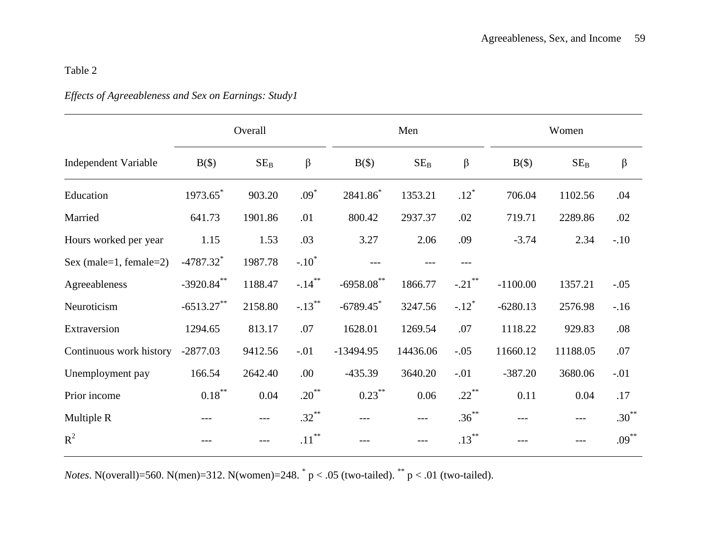# *Effects of Agreeableness and Sex on Earnings: Study1*

|                             |                         | Overall |           |               | Men      |                     | Women      |          |          |  |
|-----------------------------|-------------------------|---------|-----------|---------------|----------|---------------------|------------|----------|----------|--|
| <b>Independent Variable</b> | $B(\$)$                 | $SE_B$  | $\beta$   | $B(\$)$       | $SE_B$   | $\beta$             | $B(\$)$    | $SE_B$   | $\beta$  |  |
| Education                   | 1973.65*                | 903.20  | $.09*$    | 2841.86*      | 1353.21  | $.12*$              | 706.04     | 1102.56  | .04      |  |
| Married                     | 641.73                  | 1901.86 | .01       | 800.42        | 2937.37  | .02                 | 719.71     | 2289.86  | .02      |  |
| Hours worked per year       | 1.15                    | 1.53    | .03       | 3.27          | 2.06     | .09                 | $-3.74$    | 2.34     | $-.10$   |  |
| Sex (male=1, female=2)      | $-4787.32$ <sup>*</sup> | 1987.78 | $-.10^*$  |               |          |                     |            |          |          |  |
| Agreeableness               | $-3920.84$ **           | 1188.47 | $-.14***$ | $-6958.08$ ** | 1866.77  | $-.21$ **           | $-1100.00$ | 1357.21  | $-.05$   |  |
| Neuroticism                 | $-6513.27$ **           | 2158.80 | $-.13***$ | $-6789.45$    | 3247.56  | $-.12$ <sup>*</sup> | $-6280.13$ | 2576.98  | $-16$    |  |
| Extraversion                | 1294.65                 | 813.17  | .07       | 1628.01       | 1269.54  | .07                 | 1118.22    | 929.83   | .08      |  |
| Continuous work history     | $-2877.03$              | 9412.56 | $-.01$    | $-13494.95$   | 14436.06 | $-.05$              | 11660.12   | 11188.05 | .07      |  |
| Unemployment pay            | 166.54                  | 2642.40 | .00       | $-435.39$     | 3640.20  | $-.01$              | $-387.20$  | 3680.06  | $-.01$   |  |
| Prior income                | $0.18***$               | 0.04    | $.20***$  | $0.23***$     | 0.06     | $.22***$            | 0.11       | 0.04     | .17      |  |
| Multiple R                  |                         | $---$   | $.32***$  | $---$         | $---$    | $.36***$            | ---        |          | $.30***$ |  |
| $R^2$                       |                         |         | $.11***$  |               | ---      | $.13***$            |            |          | $.09***$ |  |

*Notes*. N(overall)=560. N(men)=312. N(women)=248.  $p < .05$  (two-tailed).  $p < .01$  (two-tailed).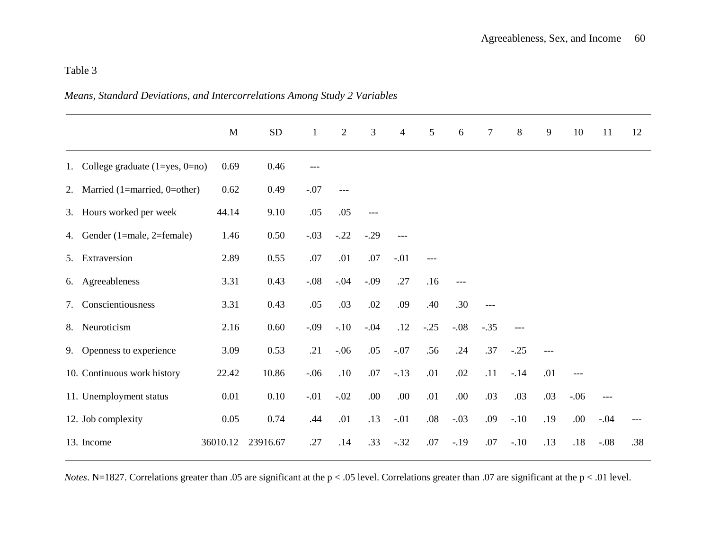# *Means, Standard Deviations, and Intercorrelations Among Study 2 Variables*

|    |                                         | M        | ${\rm SD}$ | $\mathbf{1}$ | $\overline{2}$ | 3      | $\overline{4}$ | 5      | 6      | $\overline{7}$ | 8      | 9     | 10     | 11     | 12  |
|----|-----------------------------------------|----------|------------|--------------|----------------|--------|----------------|--------|--------|----------------|--------|-------|--------|--------|-----|
|    | 1. College graduate $(1 = yes, 0 = no)$ | 0.69     | 0.46       |              |                |        |                |        |        |                |        |       |        |        |     |
|    | 2. Married $(1 = married, 0 = other)$   | 0.62     | 0.49       | $-.07$       | $---$          |        |                |        |        |                |        |       |        |        |     |
|    | 3. Hours worked per week                | 44.14    | 9.10       | .05          | .05            | $---$  |                |        |        |                |        |       |        |        |     |
|    | 4. Gender (1=male, 2=female)            | 1.46     | 0.50       | $-.03$       | $-.22$         | $-.29$ | $---$          |        |        |                |        |       |        |        |     |
|    | 5. Extraversion                         | 2.89     | 0.55       | .07          | .01            | .07    | $-.01$         |        |        |                |        |       |        |        |     |
|    | 6. Agreeableness                        | 3.31     | 0.43       | $-.08$       | $-.04$         | $-.09$ | .27            | .16    | $---$  |                |        |       |        |        |     |
| 7. | Conscientiousness                       | 3.31     | 0.43       | .05          | .03            | .02    | .09            | .40    | .30    | $---$          |        |       |        |        |     |
| 8. | Neuroticism                             | 2.16     | 0.60       | $-.09$       | $-.10$         | $-.04$ | .12            | $-.25$ | $-.08$ | $-.35$         | $---$  |       |        |        |     |
|    | 9. Openness to experience               | 3.09     | 0.53       | .21          | $-.06$         | .05    | $-.07$         | .56    | .24    | .37            | $-.25$ | $---$ |        |        |     |
|    | 10. Continuous work history             | 22.42    | 10.86      | $-.06$       | .10            | .07    | $-.13$         | .01    | .02    | .11            | $-14$  | .01   | $---$  |        |     |
|    | 11. Unemployment status                 | 0.01     | 0.10       | $-.01$       | $-.02$         | .00.   | .00.           | .01    | .00.   | .03            | .03    | .03   | $-.06$ | ---    |     |
|    | 12. Job complexity                      | 0.05     | 0.74       | .44          | .01            | .13    | $-.01$         | .08    | $-.03$ | .09            | $-.10$ | .19   | .00.   | $-.04$ |     |
|    | 13. Income                              | 36010.12 | 23916.67   | .27          | .14            | .33    | $-.32$         | .07    | $-.19$ | .07            | $-.10$ | .13   | $.18$  | $-.08$ | .38 |

*Notes*. N=1827. Correlations greater than .05 are significant at the p < .05 level. Correlations greater than .07 are significant at the p < .01 level.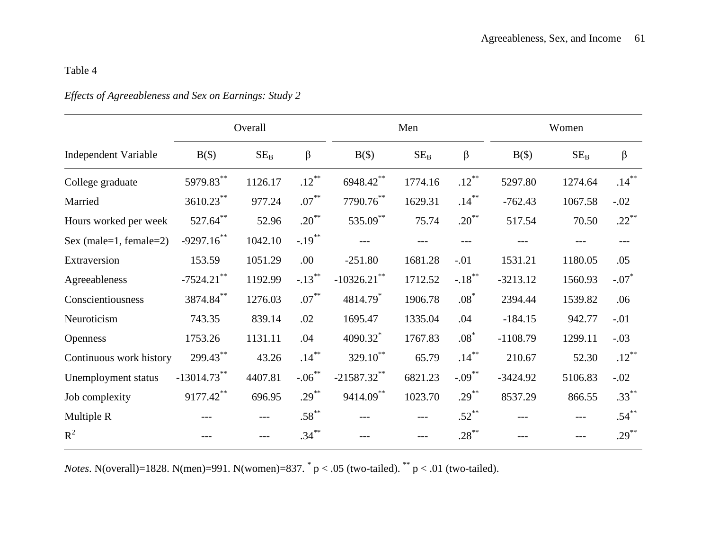# *Effects of Agreeableness and Sex on Earnings: Study 2*

|                             |                | Overall         |           |                      | Men     |            |            |                 |          |
|-----------------------------|----------------|-----------------|-----------|----------------------|---------|------------|------------|-----------------|----------|
| <b>Independent Variable</b> | $B(\$)$        | SE <sub>B</sub> | $\beta$   | $B(\$)$              | $SE_B$  | $\beta$    | $B(\$)$    | SE <sub>B</sub> | $\beta$  |
| College graduate            | 5979.83**      | 1126.17         | $.12***$  | 6948.42**            | 1774.16 | $.12***$   | 5297.80    | 1274.64         | $.14***$ |
| Married                     | $3610.23***$   | 977.24          | $.07***$  | $7790.76***$         | 1629.31 | $.14***$   | $-762.43$  | 1067.58         | $-.02$   |
| Hours worked per week       | $527.64***$    | 52.96           | $.20***$  | 535.09**             | 75.74   | $.20^{**}$ | 517.54     | 70.50           | $.22***$ |
| Sex (male=1, female=2)      | $-9297.16$ **  | 1042.10         | $-.19***$ | $---$                | ---     | $---$      |            |                 | ---      |
| Extraversion                | 153.59         | 1051.29         | .00       | $-251.80$            | 1681.28 | $-.01$     | 1531.21    | 1180.05         | .05      |
| Agreeableness               | $-7524.21$ **  | 1192.99         | $-.13***$ | $-10326.21$ **       | 1712.52 | $-.18***$  | $-3213.12$ | 1560.93         | $-.07*$  |
| Conscientiousness           | $3874.84***$   | 1276.03         | $.07***$  | 4814.79 <sup>*</sup> | 1906.78 | $.08*$     | 2394.44    | 1539.82         | .06      |
| Neuroticism                 | 743.35         | 839.14          | .02       | 1695.47              | 1335.04 | .04        | $-184.15$  | 942.77          | $-.01$   |
| <b>Openness</b>             | 1753.26        | 1131.11         | .04       | 4090.32*             | 1767.83 | $.08*$     | $-1108.79$ | 1299.11         | $-.03$   |
| Continuous work history     | 299.43**       | 43.26           | $.14***$  | 329.10 <sup>**</sup> | 65.79   | $.14***$   | 210.67     | 52.30           | $.12***$ |
| Unemployment status         | $-13014.73***$ | 4407.81         | $-.06***$ | $-21587.32$ **       | 6821.23 | $-.09***$  | $-3424.92$ | 5106.83         | $-.02$   |
| Job complexity              | $9177.42***$   | 696.95          | $.29***$  | 9414.09**            | 1023.70 | $.29***$   | 8537.29    | 866.55          | $.33***$ |
| Multiple R                  | ---            | ---             | $.58***$  |                      | ---     | $.52***$   | ---        | $---$           | $.54***$ |
| $R^2$                       |                |                 | $.34***$  |                      |         | $.28***$   |            |                 | $.29***$ |

*Notes*. N(overall)=1828. N(men)=991. N(women)=837.  $p < .05$  (two-tailed).  $*$ <sub>p</sub> < .01 (two-tailed).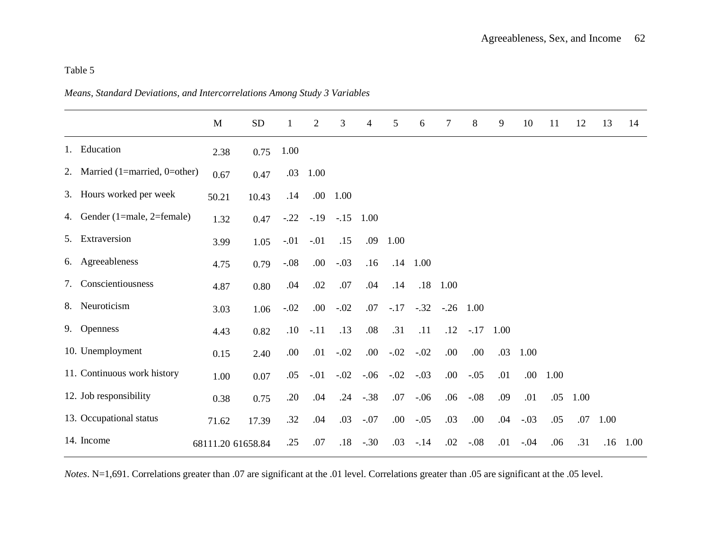*Means, Standard Deviations, and Intercorrelations Among Study 3 Variables*

|                                 | M                 | ${\rm SD}$ | 1      | $\overline{2}$ | 3      | 4      | 5      | 6          | 7      | 8      | 9    | 10     | 11               | 12   | 13   | 14   |
|---------------------------------|-------------------|------------|--------|----------------|--------|--------|--------|------------|--------|--------|------|--------|------------------|------|------|------|
| 1. Education                    | 2.38              | 0.75       | 1.00   |                |        |        |        |            |        |        |      |        |                  |      |      |      |
| 2. Married (1=married, 0=other) | 0.67              | 0.47       | .03    | 1.00           |        |        |        |            |        |        |      |        |                  |      |      |      |
| 3. Hours worked per week        | 50.21             | 10.43      | .14    | .00            | 1.00   |        |        |            |        |        |      |        |                  |      |      |      |
| 4. Gender (1=male, 2=female)    | 1.32              | 0.47       | $-.22$ | $-.19$         | $-.15$ | 1.00   |        |            |        |        |      |        |                  |      |      |      |
| 5. Extraversion                 | 3.99              | 1.05       | $-.01$ | $-.01$         | .15    | .09    | 1.00   |            |        |        |      |        |                  |      |      |      |
| 6. Agreeableness                | 4.75              | 0.79       | $-.08$ | .00.           | $-.03$ | .16    |        | $.14$ 1.00 |        |        |      |        |                  |      |      |      |
| 7. Conscientiousness            | 4.87              | 0.80       | .04    | .02            | .07    | .04    | .14    | .18        | 1.00   |        |      |        |                  |      |      |      |
| 8. Neuroticism                  | 3.03              | 1.06       | $-.02$ | .00.           | $-.02$ | .07    | $-.17$ | $-.32$     | $-.26$ | 1.00   |      |        |                  |      |      |      |
| 9. Openness                     | 4.43              | 0.82       | .10    | $-.11$         | .13    | .08    | .31    | .11        | .12    | $-.17$ | 1.00 |        |                  |      |      |      |
| 10. Unemployment                | 0.15              | 2.40       | .00    | .01            | $-.02$ | .00    | $-.02$ | $-.02$     | .00    | .00.   | .03  | 1.00   |                  |      |      |      |
| 11. Continuous work history     | 1.00              | 0.07       | .05    | $-.01$         | $-.02$ | $-.06$ | $-.02$ | $-.03$     | .00.   | $-.05$ | .01  |        | $.00 \quad 1.00$ |      |      |      |
| 12. Job responsibility          | 0.38              | 0.75       | .20    | .04            | .24    | $-.38$ | .07    | $-.06$     | .06    | $-.08$ | .09  | .01    | .05              | 1.00 |      |      |
| 13. Occupational status         | 71.62             | 17.39      | .32    | .04            | .03    | $-.07$ | .00    | $-.05$     | .03    | .00    | .04  | $-.03$ | .05              | .07  | 1.00 |      |
| 14. Income                      | 68111.20 61658.84 |            | .25    | .07            | .18    | $-.30$ | .03    | $-.14$     | .02    | $-.08$ | .01  | $-.04$ | .06              | .31  | .16  | 1.00 |

*Notes*. N=1,691. Correlations greater than .07 are significant at the .01 level. Correlations greater than .05 are significant at the .05 level.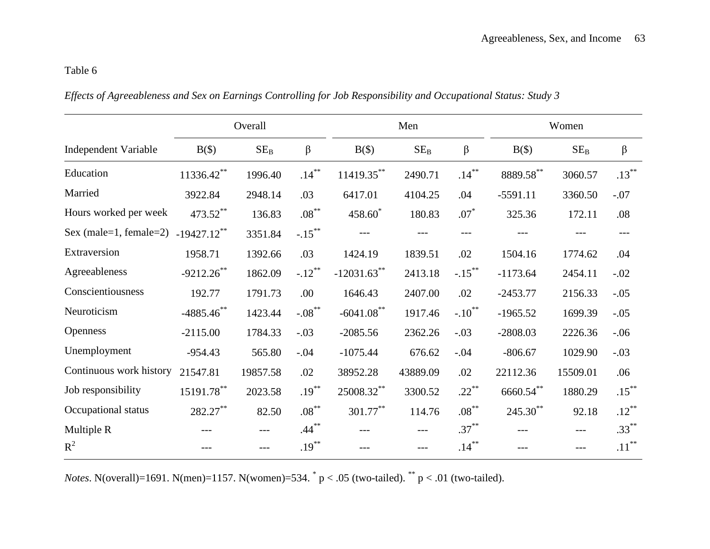*Effects of Agreeableness and Sex on Earnings Controlling for Job Responsibility and Occupational Status: Study 3*

|                             |                | Overall         |           |                     | Men      |                      | Women         |          |          |  |
|-----------------------------|----------------|-----------------|-----------|---------------------|----------|----------------------|---------------|----------|----------|--|
| <b>Independent Variable</b> | $B(\$)$        | SE <sub>B</sub> | $\beta$   | $B(\$)$             | $SE_B$   | β                    | $B(\$)$       | $SE_B$   | $\beta$  |  |
| Education                   | $11336.42***$  | 1996.40         | $.14***$  | $11419.35***$       | 2490.71  | $.14***$             | 8889.58**     | 3060.57  | $.13***$ |  |
| Married                     | 3922.84        | 2948.14         | .03       | 6417.01             | 4104.25  | .04                  | $-5591.11$    | 3360.50  | $-.07$   |  |
| Hours worked per week       | 473.52**       | 136.83          | $.08***$  | 458.60 <sup>*</sup> | 180.83   | $.07*$               | 325.36        | 172.11   | .08      |  |
| Sex (male=1, female=2)      | $-19427.12$ ** | 3351.84         | $-.15***$ |                     |          | ---                  |               |          |          |  |
| Extraversion                | 1958.71        | 1392.66         | .03       | 1424.19             | 1839.51  | .02                  | 1504.16       | 1774.62  | .04      |  |
| Agreeableness               | $-9212.26$ **  | 1862.09         | $-.12***$ | $-12031.63$ **      | 2413.18  | $-.15***$            | $-1173.64$    | 2454.11  | $-.02$   |  |
| Conscientiousness           | 192.77         | 1791.73         | .00       | 1646.43             | 2407.00  | .02                  | $-2453.77$    | 2156.33  | $-.05$   |  |
| Neuroticism                 | $-4885.46$ **  | 1423.44         | $-.08$ ** | $-6041.08$ **       | 1917.46  | $-.10$ <sup>**</sup> | $-1965.52$    | 1699.39  | $-.05$   |  |
| <b>Openness</b>             | $-2115.00$     | 1784.33         | $-.03$    | $-2085.56$          | 2362.26  | $-.03$               | $-2808.03$    | 2226.36  | $-.06$   |  |
| Unemployment                | $-954.43$      | 565.80          | $-.04$    | $-1075.44$          | 676.62   | $-.04$               | $-806.67$     | 1029.90  | $-.03$   |  |
| Continuous work history     | 21547.81       | 19857.58        | .02       | 38952.28            | 43889.09 | .02                  | 22112.36      | 15509.01 | .06      |  |
| Job responsibility          | $15191.78***$  | 2023.58         | $.19***$  | 25008.32**          | 3300.52  | $.22***$             | $6660.54***$  | 1880.29  | $.15***$ |  |
| Occupational status         | 282.27**       | 82.50           | $.08***$  | $301.77***$         | 114.76   | $.08***$             | $245.30^{**}$ | 92.18    | $.12***$ |  |
| Multiple R                  |                | $---$           | $.44***$  |                     | ---      | $.37***$             | ---           | ---      | $.33***$ |  |
| $R^2$                       |                |                 | $.19***$  |                     | ---      | $.14***$             |               |          | $.11***$ |  |

*Notes*. N(overall)=1691. N(men)=1157. N(women)=534.  $p < .05$  (two-tailed).  $p < .01$  (two-tailed).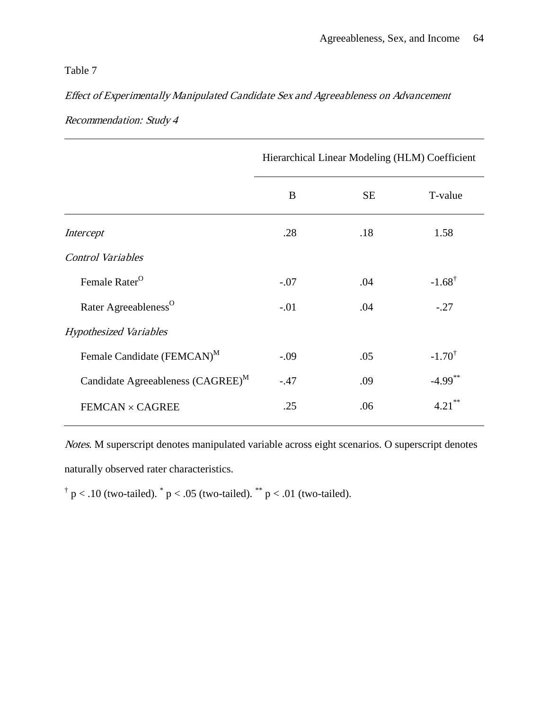# Effect of Experimentally Manipulated Candidate Sex and Agreeableness on Advancement

|                                               | Hierarchical Linear Modeling (HLM) Coefficient |           |                       |  |  |  |  |  |
|-----------------------------------------------|------------------------------------------------|-----------|-----------------------|--|--|--|--|--|
|                                               | B                                              | <b>SE</b> | T-value               |  |  |  |  |  |
| Intercept                                     | .28                                            | .18       | 1.58                  |  |  |  |  |  |
| <b>Control Variables</b>                      |                                                |           |                       |  |  |  |  |  |
| Female Rater <sup>O</sup>                     | $-.07$                                         | .04       | $-1.68^{\dagger}$     |  |  |  |  |  |
| Rater Agreeableness <sup>O</sup>              | $-.01$                                         | .04       | $-.27$                |  |  |  |  |  |
| <b>Hypothesized Variables</b>                 |                                                |           |                       |  |  |  |  |  |
| Female Candidate (FEMCAN) <sup>M</sup>        | $-.09$                                         | .05       | $-1.70^{\dagger}$     |  |  |  |  |  |
| Candidate Agreeableness (CAGREE) <sup>M</sup> | $-.47$                                         | .09       | $-4.99$ <sup>**</sup> |  |  |  |  |  |
| <b>FEMCAN × CAGREE</b>                        | .25                                            | .06       | $4.21***$             |  |  |  |  |  |

Recommendation: Study 4

Notes. M superscript denotes manipulated variable across eight scenarios. O superscript denotes naturally observed rater characteristics.

<sup>†</sup> p < .10 (two-tailed). <sup>\*</sup> p < .05 (two-tailed). <sup>\*\*</sup> p < .01 (two-tailed).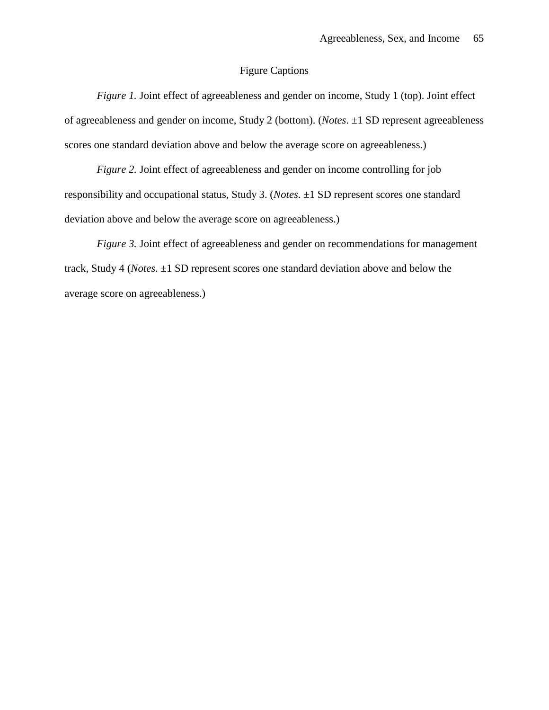# Figure Captions

*Figure 1.* Joint effect of agreeableness and gender on income, Study 1 (top). Joint effect of agreeableness and gender on income, Study 2 (bottom). (*Notes*. ±1 SD represent agreeableness scores one standard deviation above and below the average score on agreeableness.)

*Figure 2.* Joint effect of agreeableness and gender on income controlling for job responsibility and occupational status, Study 3. (*Notes*. ±1 SD represent scores one standard deviation above and below the average score on agreeableness.)

*Figure 3.* Joint effect of agreeableness and gender on recommendations for management track, Study 4 (*Notes*. ±1 SD represent scores one standard deviation above and below the average score on agreeableness.)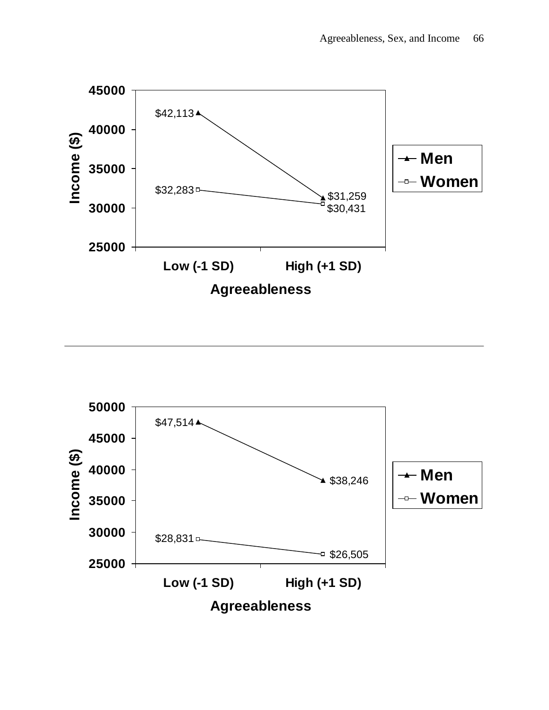

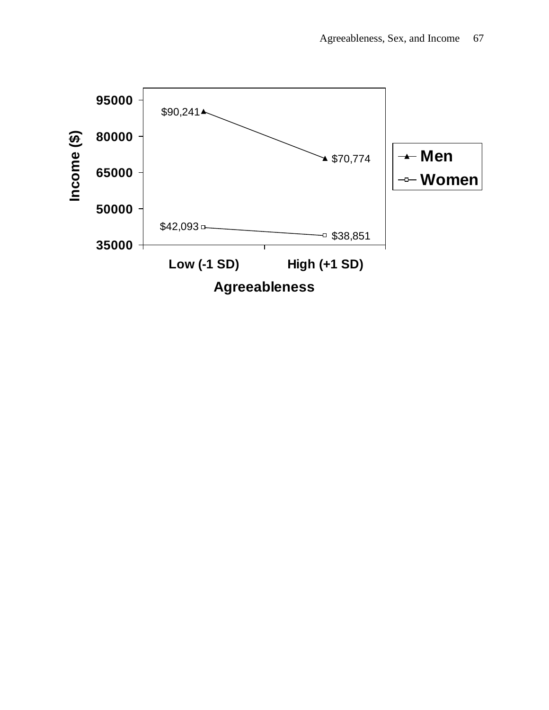